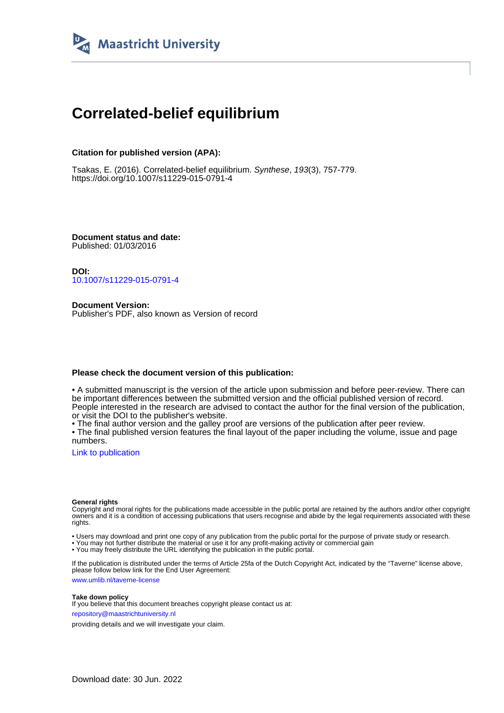

# **Correlated-belief equilibrium**

## **Citation for published version (APA):**

Tsakas, E. (2016). Correlated-belief equilibrium. Synthese, 193(3), 757-779. <https://doi.org/10.1007/s11229-015-0791-4>

**Document status and date:** Published: 01/03/2016

**DOI:** [10.1007/s11229-015-0791-4](https://doi.org/10.1007/s11229-015-0791-4)

**Document Version:** Publisher's PDF, also known as Version of record

### **Please check the document version of this publication:**

• A submitted manuscript is the version of the article upon submission and before peer-review. There can be important differences between the submitted version and the official published version of record. People interested in the research are advised to contact the author for the final version of the publication, or visit the DOI to the publisher's website.

• The final author version and the galley proof are versions of the publication after peer review.

• The final published version features the final layout of the paper including the volume, issue and page numbers.

[Link to publication](https://cris.maastrichtuniversity.nl/en/publications/8eef4718-052e-49dd-b4af-48067694b480)

#### **General rights**

Copyright and moral rights for the publications made accessible in the public portal are retained by the authors and/or other copyright owners and it is a condition of accessing publications that users recognise and abide by the legal requirements associated with these rights.

• Users may download and print one copy of any publication from the public portal for the purpose of private study or research.

• You may not further distribute the material or use it for any profit-making activity or commercial gain

• You may freely distribute the URL identifying the publication in the public portal.

If the publication is distributed under the terms of Article 25fa of the Dutch Copyright Act, indicated by the "Taverne" license above, please follow below link for the End User Agreement:

www.umlib.nl/taverne-license

#### **Take down policy**

If you believe that this document breaches copyright please contact us at: repository@maastrichtuniversity.nl

providing details and we will investigate your claim.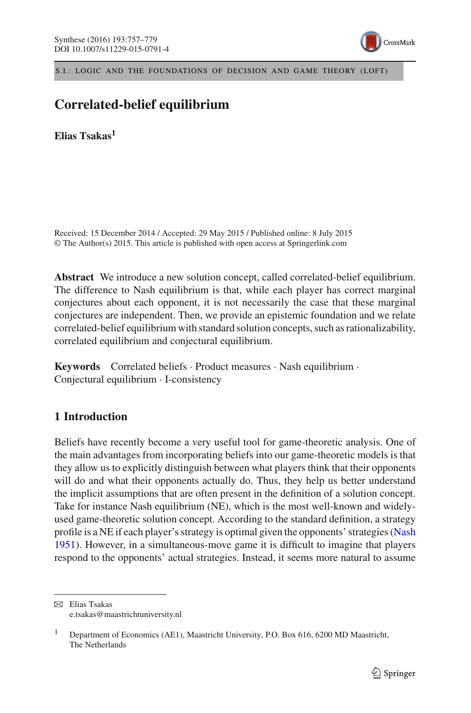

S.I.: LOGIC AND THE FOUNDATIONS OF DECISION AND GAME THEORY (LOFT)

## **Correlated-belief equilibrium**

**Elias Tsakas<sup>1</sup>**

Received: 15 December 2014 / Accepted: 29 May 2015 / Published online: 8 July 2015 © The Author(s) 2015. This article is published with open access at Springerlink.com

**Abstract** We introduce a new solution concept, called correlated-belief equilibrium. The difference to Nash equilibrium is that, while each player has correct marginal conjectures about each opponent, it is not necessarily the case that these marginal conjectures are independent. Then, we provide an epistemic foundation and we relate correlated-belief equilibrium with standard solution concepts, such as rationalizability, correlated equilibrium and conjectural equilibrium.

**Keywords** Correlated beliefs · Product measures · Nash equilibrium · Conjectural equilibrium · I-consistency

## **1 Introduction**

Beliefs have recently become a very useful tool for game-theoretic analysis. One of the main advantages from incorporating beliefs into our game-theoretic models is that they allow us to explicitly distinguish between what players think that their opponents will do and what their opponents actually do. Thus, they help us better understand the implicit assumptions that are often present in the definition of a solution concept. Take for instance Nash equilibrium (NE), which is the most well-known and widelyused game-theoretic solution concept. According to the standard definition, a strategy profile is a NE if each player's strategy is optimal given the opponents' strategies [\(Nash](#page-23-0) [1951\)](#page-23-0). However, in a simultaneous-move game it is difficult to imagine that players respond to the opponents' actual strategies. Instead, it seems more natural to assume

 $\boxtimes$  Elias Tsakas e.tsakas@maastrichtuniversity.nl

<sup>&</sup>lt;sup>1</sup> Department of Economics (AE1), Maastricht University, P.O. Box 616, 6200 MD Maastricht, The Netherlands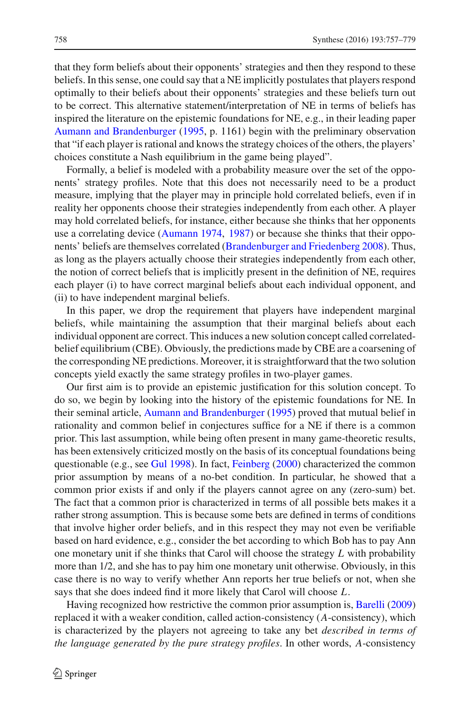that they form beliefs about their opponents' strategies and then they respond to these beliefs. In this sense, one could say that a NE implicitly postulates that players respond optimally to their beliefs about their opponents' strategies and these beliefs turn out to be correct. This alternative statement/interpretation of NE in terms of beliefs has inspired the literature on the epistemic foundations for NE, e.g., in their leading paper [Aumann and Brandenburger](#page-23-1) [\(1995,](#page-23-1) p. 1161) begin with the preliminary observation that "if each player is rational and knows the strategy choices of the others, the players' choices constitute a Nash equilibrium in the game being played".

Formally, a belief is modeled with a probability measure over the set of the opponents' strategy profiles. Note that this does not necessarily need to be a product measure, implying that the player may in principle hold correlated beliefs, even if in reality her opponents choose their strategies independently from each other. A player may hold correlated beliefs, for instance, either because she thinks that her opponents use a correlating device [\(Aumann 1974](#page-23-2), [1987](#page-23-3)) or because she thinks that their opponents' beliefs are themselves correlated [\(Brandenburger and Friedenberg 2008\)](#page-23-4). Thus, as long as the players actually choose their strategies independently from each other, the notion of correct beliefs that is implicitly present in the definition of NE, requires each player (i) to have correct marginal beliefs about each individual opponent, and (ii) to have independent marginal beliefs.

In this paper, we drop the requirement that players have independent marginal beliefs, while maintaining the assumption that their marginal beliefs about each individual opponent are correct. This induces a new solution concept called correlatedbelief equilibrium (CBE). Obviously, the predictions made by CBE are a coarsening of the corresponding NE predictions. Moreover, it is straightforward that the two solution concepts yield exactly the same strategy profiles in two-player games.

Our first aim is to provide an epistemic justification for this solution concept. To do so, we begin by looking into the history of the epistemic foundations for NE. In their seminal article, [Aumann and Brandenburger](#page-23-1) [\(1995\)](#page-23-1) proved that mutual belief in rationality and common belief in conjectures suffice for a NE if there is a common prior. This last assumption, while being often present in many game-theoretic results, has been extensively criticized mostly on the basis of its conceptual foundations being questionable (e.g., see [Gul 1998](#page-23-5)). In fact, [Feinberg](#page-23-6) [\(2000\)](#page-23-6) characterized the common prior assumption by means of a no-bet condition. In particular, he showed that a common prior exists if and only if the players cannot agree on any (zero-sum) bet. The fact that a common prior is characterized in terms of all possible bets makes it a rather strong assumption. This is because some bets are defined in terms of conditions that involve higher order beliefs, and in this respect they may not even be verifiable based on hard evidence, e.g., consider the bet according to which Bob has to pay Ann one monetary unit if she thinks that Carol will choose the strategy *L* with probability more than 1/2, and she has to pay him one monetary unit otherwise. Obviously, in this case there is no way to verify whether Ann reports her true beliefs or not, when she says that she does indeed find it more likely that Carol will choose *L*.

Having recognized how restrictive the common prior assumption is, [Barelli](#page-23-7) [\(2009\)](#page-23-7) replaced it with a weaker condition, called action-consistency (*A*-consistency), which is characterized by the players not agreeing to take any bet *described in terms of the language generated by the pure strategy profiles*. In other words, *A*-consistency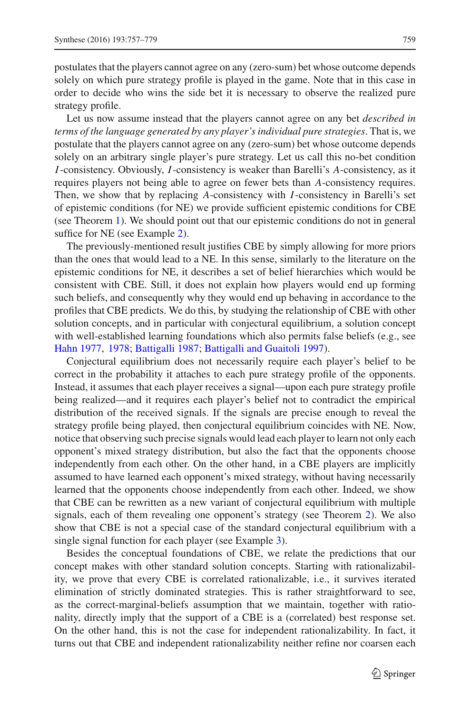postulates that the players cannot agree on any (zero-sum) bet whose outcome depends solely on which pure strategy profile is played in the game. Note that in this case in order to decide who wins the side bet it is necessary to observe the realized pure strategy profile.

Let us now assume instead that the players cannot agree on any bet *described in terms of the language generated by any player's individual pure strategies*. That is, we postulate that the players cannot agree on any (zero-sum) bet whose outcome depends solely on an arbitrary single player's pure strategy. Let us call this no-bet condition *I*-consistency. Obviously, *I*-consistency is weaker than Barelli's *A*-consistency, as it requires players not being able to agree on fewer bets than *A*-consistency requires. Then, we show that by replacing *A*-consistency with *I*-consistency in Barelli's set of epistemic conditions (for NE) we provide sufficient epistemic conditions for CBE (see Theorem [1\)](#page-12-0). We should point out that our epistemic conditions do not in general suffice for NE (see Example [2\)](#page-12-1).

The previously-mentioned result justifies CBE by simply allowing for more priors than the ones that would lead to a NE. In this sense, similarly to the literature on the epistemic conditions for NE, it describes a set of belief hierarchies which would be consistent with CBE. Still, it does not explain how players would end up forming such beliefs, and consequently why they would end up behaving in accordance to the profiles that CBE predicts. We do this, by studying the relationship of CBE with other solution concepts, and in particular with conjectural equilibrium, a solution concept with well-established learning foundations which also permits false beliefs (e.g., see [Hahn 1977,](#page-23-8) [1978;](#page-23-9) [Battigalli 1987;](#page-23-10) [Battigalli and Guaitoli 1997](#page-23-11)).

Conjectural equilibrium does not necessarily require each player's belief to be correct in the probability it attaches to each pure strategy profile of the opponents. Instead, it assumes that each player receives a signal—upon each pure strategy profile being realized—and it requires each player's belief not to contradict the empirical distribution of the received signals. If the signals are precise enough to reveal the strategy profile being played, then conjectural equilibrium coincides with NE. Now, notice that observing such precise signals would lead each player to learn not only each opponent's mixed strategy distribution, but also the fact that the opponents choose independently from each other. On the other hand, in a CBE players are implicitly assumed to have learned each opponent's mixed strategy, without having necessarily learned that the opponents choose independently from each other. Indeed, we show that CBE can be rewritten as a new variant of conjectural equilibrium with multiple signals, each of them revealing one opponent's strategy (see Theorem [2\)](#page-15-0). We also show that CBE is not a special case of the standard conjectural equilibrium with a single signal function for each player (see Example [3\)](#page-14-0).

Besides the conceptual foundations of CBE, we relate the predictions that our concept makes with other standard solution concepts. Starting with rationalizability, we prove that every CBE is correlated rationalizable, i.e., it survives iterated elimination of strictly dominated strategies. This is rather straightforward to see, as the correct-marginal-beliefs assumption that we maintain, together with rationality, directly imply that the support of a CBE is a (correlated) best response set. On the other hand, this is not the case for independent rationalizability. In fact, it turns out that CBE and independent rationalizability neither refine nor coarsen each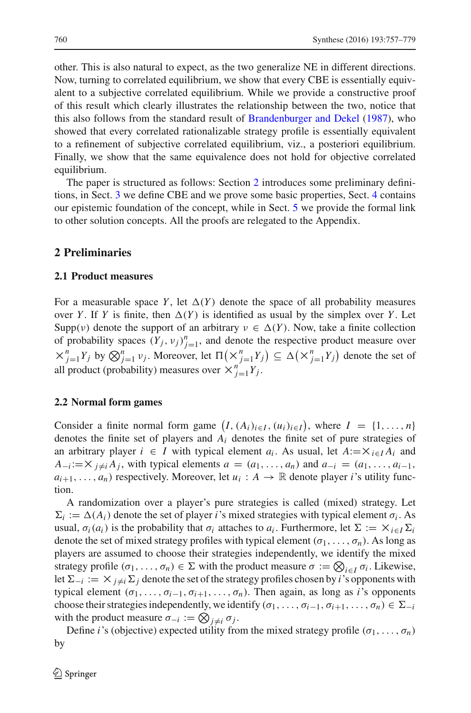other. This is also natural to expect, as the two generalize NE in different directions. Now, turning to correlated equilibrium, we show that every CBE is essentially equivalent to a subjective correlated equilibrium. While we provide a constructive proof of this result which clearly illustrates the relationship between the two, notice that this also follows from the standard result of [Brandenburger and Dekel](#page-23-12) [\(1987\)](#page-23-12), who showed that every correlated rationalizable strategy profile is essentially equivalent to a refinement of subjective correlated equilibrium, viz., a posteriori equilibrium. Finally, we show that the same equivalence does not hold for objective correlated equilibrium.

The paper is structured as follows: Section [2](#page-4-0) introduces some preliminary definitions, in Sect. [3](#page-6-0) we define CBE and we prove some basic properties, Sect. [4](#page-7-0) contains our epistemic foundation of the concept, while in Sect. [5](#page-13-0) we provide the formal link to other solution concepts. All the proofs are relegated to the Appendix.

#### <span id="page-4-0"></span>**2 Preliminaries**

#### **2.1 Product measures**

For a measurable space Y, let  $\Delta(Y)$  denote the space of all probability measures over *Y*. If *Y* is finite, then  $\Delta(Y)$  is identified as usual by the simplex over *Y*. Let Supp(*v*) denote the support of an arbitrary  $v \in \Delta(Y)$ . Now, take a finite collection of probability spaces  $(Y_j, v_j)_{j=1}^n$ , and denote the respective product measure over  $\times_{j=1}^{n} Y_j$  by  $\bigotimes_{j=1}^{n} v_j$ . Moreover, let  $\Pi\left(\times_{j=1}^{n} Y_j\right) \subseteq \Delta\left(\times_{j=1}^{n} Y_j\right)$  denote the set of all product (probability) measures over  $\times_{j=1}^{n} Y_j$ .

#### **2.2 Normal form games**

Consider a finite normal form game  $(I, (A_i)_{i \in I}, (u_i)_{i \in I})$ , where  $I = \{1, ..., n\}$ denotes the finite set of players and *Ai* denotes the finite set of pure strategies of an arbitrary player  $i \in I$  with typical element  $a_i$ . As usual, let  $A := \times_{i \in I} A_i$  and  $A_{-i} := \times_{i \neq i} A_i$ , with typical elements  $a = (a_1, \ldots, a_n)$  and  $a_{-i} = (a_1, \ldots, a_{i-1}, a_i)$  $a_{i+1}, \ldots, a_n$  respectively. Moreover, let  $u_i : A \to \mathbb{R}$  denote player *i*'s utility function.

A randomization over a player's pure strategies is called (mixed) strategy. Let  $\Sigma_i := \Delta(A_i)$  denote the set of player *i*'s mixed strategies with typical element  $\sigma_i$ . As usual,  $\sigma_i(a_i)$  is the probability that  $\sigma_i$  attaches to  $a_i$ . Furthermore, let  $\Sigma := \times_{i \in I} \Sigma_i$ denote the set of mixed strategy profiles with typical element  $(\sigma_1, \ldots, \sigma_n)$ . As long as players are assumed to choose their strategies independently, we identify the mixed strategy profile  $(\sigma_1, \ldots, \sigma_n) \in \Sigma$  with the product measure  $\sigma := \bigotimes_{i \in I} \sigma_i$ . Likewise, let  $\Sigma_{-i} := \times_{i \neq i} \Sigma_i$  denote the set of the strategy profiles chosen by *i*'s opponents with typical element  $(\sigma_1, \ldots, \sigma_{i-1}, \sigma_{i+1}, \ldots, \sigma_n)$ . Then again, as long as *i*'s opponents choose their strategies independently, we identify  $(\sigma_1, \ldots, \sigma_{i-1}, \sigma_{i+1}, \ldots, \sigma_n) \in \Sigma_{-i}$ with the product measure  $\sigma_{-i} := \bigotimes_{j \neq i} \sigma_j$ .

Define *i*'s (objective) expected utility from the mixed strategy profile  $(\sigma_1, \ldots, \sigma_n)$ by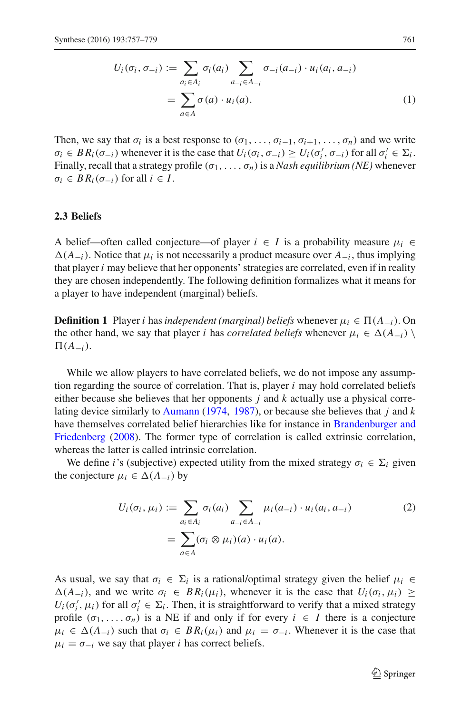$$
U_i(\sigma_i, \sigma_{-i}) := \sum_{a_i \in A_i} \sigma_i(a_i) \sum_{a_{-i} \in A_{-i}} \sigma_{-i}(a_{-i}) \cdot u_i(a_i, a_{-i})
$$
  
= 
$$
\sum_{a \in A} \sigma(a) \cdot u_i(a).
$$
 (1)

Then, we say that  $\sigma_i$  is a best response to ( $\sigma_1, \ldots, \sigma_{i-1}, \sigma_{i+1}, \ldots, \sigma_n$ ) and we write  $\sigma_i \in BR_i(\sigma_{-i})$  whenever it is the case that  $U_i(\sigma_i, \sigma_{-i}) \ge U_i(\sigma'_i, \sigma_{-i})$  for all  $\sigma'_i \in \Sigma_i$ . Finally, recall that a strategy profile  $(\sigma_1, \ldots, \sigma_n)$  is a *Nash equilibrium (NE)* whenever  $\sigma_i \in BR_i(\sigma_{-i})$  for all  $i \in I$ .

#### **2.3 Beliefs**

A belief—often called conjecture—of player  $i \in I$  is a probability measure  $\mu_i \in$  $\Delta(A_{-i})$ . Notice that  $\mu_i$  is not necessarily a product measure over  $A_{-i}$ , thus implying that player *i* may believe that her opponents' strategies are correlated, even if in reality they are chosen independently. The following definition formalizes what it means for a player to have independent (marginal) beliefs.

**Definition 1** Player *i* has *independent* (*marginal*) *beliefs* whenever  $\mu_i \in \Pi(A_{-i})$ . On the other hand, we say that player *i* has *correlated beliefs* whenever  $\mu_i \in \Delta(A_{-i}) \setminus \Delta(A_{-i})$  $\Pi(A_{-i}).$ 

While we allow players to have correlated beliefs, we do not impose any assumption regarding the source of correlation. That is, player *i* may hold correlated beliefs either because she believes that her opponents *j* and *k* actually use a physical correlating device similarly to [Aumann](#page-23-2) [\(1974,](#page-23-2) [1987\)](#page-23-3), or because she believes that *j* and *k* have thems[elves](#page-23-4) [correlated](#page-23-4) [belief](#page-23-4) [hierarchies](#page-23-4) [like](#page-23-4) [for](#page-23-4) [instance](#page-23-4) [in](#page-23-4) Brandenburger and Friedenberg [\(2008\)](#page-23-4). The former type of correlation is called extrinsic correlation, whereas the latter is called intrinsic correlation.

We define *i*'s (subjective) expected utility from the mixed strategy  $\sigma_i \in \Sigma_i$  given the conjecture  $\mu_i \in \Delta(A_{-i})$  by

$$
U_i(\sigma_i, \mu_i) := \sum_{a_i \in A_i} \sigma_i(a_i) \sum_{a_{-i} \in A_{-i}} \mu_i(a_{-i}) \cdot u_i(a_i, a_{-i})
$$
  
= 
$$
\sum_{a \in A} (\sigma_i \otimes \mu_i)(a) \cdot u_i(a).
$$
 (2)

As usual, we say that  $\sigma_i \in \Sigma_i$  is a rational/optimal strategy given the belief  $\mu_i \in$  $\Delta(A_{-i})$ , and we write  $\sigma_i \in BR_i(\mu_i)$ , whenever it is the case that  $U_i(\sigma_i, \mu_i) \geq$  $U_i(\sigma'_i, \mu_i)$  for all  $\sigma'_i \in \Sigma_i$ . Then, it is straightforward to verify that a mixed strategy profile  $(\sigma_1, \ldots, \sigma_n)$  is a NE if and only if for every  $i \in I$  there is a conjecture  $\mu_i \in \Delta(A_{-i})$  such that  $\sigma_i \in BR_i(\mu_i)$  and  $\mu_i = \sigma_{-i}$ . Whenever it is the case that  $\mu_i = \sigma_{-i}$  we say that player *i* has correct beliefs.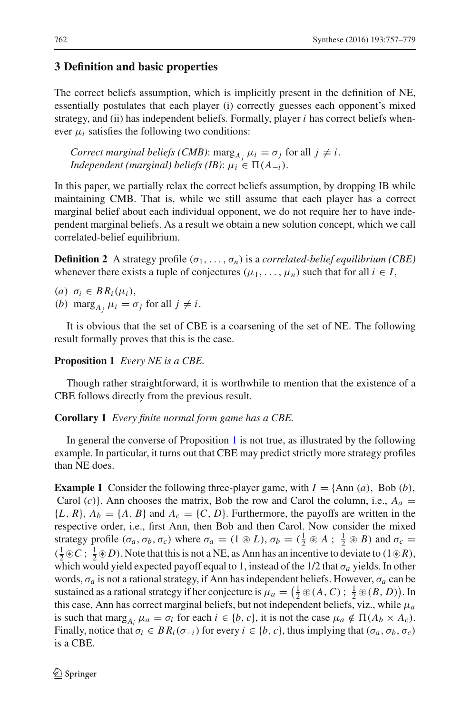## <span id="page-6-0"></span>**3 Definition and basic properties**

The correct beliefs assumption, which is implicitly present in the definition of NE, essentially postulates that each player (i) correctly guesses each opponent's mixed strategy, and (ii) has independent beliefs. Formally, player *i* has correct beliefs whenever  $\mu_i$  satisfies the following two conditions:

*Correct marginal beliefs (CMB):* marg<sub>*A<sub>i</sub>*</sub>  $\mu_i = \sigma_j$  for all  $j \neq i$ . *Independent (marginal) beliefs (IB):*  $\mu_i \in \Pi(A_{-i})$ .

In this paper, we partially relax the correct beliefs assumption, by dropping IB while maintaining CMB. That is, while we still assume that each player has a correct marginal belief about each individual opponent, we do not require her to have independent marginal beliefs. As a result we obtain a new solution concept, which we call correlated-belief equilibrium.

<span id="page-6-3"></span>**Definition 2** A strategy profile  $(\sigma_1, \ldots, \sigma_n)$  is a *correlated-belief equilibrium (CBE)* whenever there exists a tuple of conjectures  $(\mu_1, \ldots, \mu_n)$  such that for all  $i \in I$ ,

(*a*) σ*<sup>i</sup>* ∈ *B Ri*(μ*i*),

(*b*) marg<sub>*A<sub>i</sub>*</sub>  $\mu_i = \sigma_j$  for all  $j \neq i$ .

<span id="page-6-1"></span>It is obvious that the set of CBE is a coarsening of the set of NE. The following result formally proves that this is the case.

**Proposition 1** *Every NE is a CBE.*

<span id="page-6-4"></span>Though rather straightforward, it is worthwhile to mention that the existence of a CBE follows directly from the previous result.

**Corollary 1** *Every finite normal form game has a CBE.*

In general the converse of Proposition [1](#page-6-1) is not true, as illustrated by the following example. In particular, it turns out that CBE may predict strictly more strategy profiles than NE does.

<span id="page-6-2"></span>**Example 1** Consider the following three-player game, with  $I = \{Ann(a), Bob(b),\}$ Carol  $(c)$ . Ann chooses the matrix, Bob the row and Carol the column, i.e.,  $A_a$  =  ${L, R}, A_b = {A, B}$  and  $A_c = {C, D}$ . Furthermore, the payoffs are written in the respective order, i.e., first Ann, then Bob and then Carol. Now consider the mixed strategy profile  $(\sigma_a, \sigma_b, \sigma_c)$  where  $\sigma_a = (1 \otimes L), \sigma_b = (\frac{1}{2} \otimes A; \frac{1}{2} \otimes B)$  and  $\sigma_c =$  $(\frac{1}{2} \otimes C; \frac{1}{2} \otimes D)$ . Note that this is not a NE, as Ann has an incentive to deviate to  $(1 \otimes R)$ , which would yield expected payoff equal to 1, instead of the  $1/2$  that  $\sigma_a$  yields. In other words, σ*a* is not a rational strategy, if Ann has independent beliefs. However, σ*a* can be sustained as a rational strategy if her conjecture is  $\mu_a = (\frac{1}{2} \otimes (A, C); \frac{1}{2} \otimes (B, D)).$  In this case, Ann has correct marginal beliefs, but not independent beliefs, viz., while μ*a* is such that marg<sub>*A<sub>i</sub>*</sub>  $\mu_a = \sigma_i$  for each  $i \in \{b, c\}$ , it is not the case  $\mu_a \notin \Pi(A_b \times A_c)$ . Finally, notice that  $\sigma_i \in BR_i(\sigma_{-i})$  for every  $i \in \{b, c\}$ , thus implying that  $(\sigma_a, \sigma_b, \sigma_c)$ is a CBE.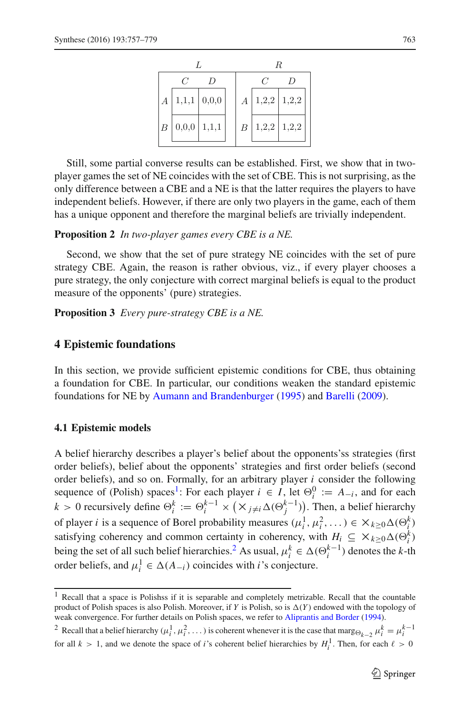|                  |                    |          | R |   |                           |                  |  |
|------------------|--------------------|----------|---|---|---------------------------|------------------|--|
|                  | $\mathcal{C}$      | $\prime$ |   |   | C                         | $\left( \right)$ |  |
| $\boldsymbol{A}$ | $1,1,1 \mid 0,0,0$ |          |   |   | $A \mid 1,2,2 \mid 1,2,2$ |                  |  |
| $\boldsymbol{B}$ | 0,0,0              | 1,1,1    |   | В | $1,2,2$ 1,2,2             |                  |  |

Still, some partial converse results can be established. First, we show that in twoplayer games the set of NE coincides with the set of CBE. This is not surprising, as the only difference between a CBE and a NE is that the latter requires the players to have independent beliefs. However, if there are only two players in the game, each of them has a unique opponent and therefore the marginal beliefs are trivially independent.

#### <span id="page-7-3"></span>**Proposition 2** *In two-player games every CBE is a NE.*

Second, we show that the set of pure strategy NE coincides with the set of pure strategy CBE. Again, the reason is rather obvious, viz., if every player chooses a pure strategy, the only conjecture with correct marginal beliefs is equal to the product measure of the opponents' (pure) strategies.

<span id="page-7-4"></span>**Proposition 3** *Every pure-strategy CBE is a NE.*

#### <span id="page-7-0"></span>**4 Epistemic foundations**

In this section, we provide sufficient epistemic conditions for CBE, thus obtaining a foundation for CBE. In particular, our conditions weaken the standard epistemic foundations for NE by [Aumann and Brandenburger](#page-23-1) [\(1995](#page-23-1)) and [Barelli](#page-23-7) [\(2009\)](#page-23-7).

#### **4.1 Epistemic models**

A belief hierarchy describes a player's belief about the opponents'ss strategies (first order beliefs), belief about the opponents' strategies and first order beliefs (second order beliefs), and so on. Formally, for an arbitrary player *i* consider the following sequence of (Polish) spaces<sup>[1](#page-7-1)</sup>: For each player  $i \in I$ , let  $\Theta_i^0 := A_{-i}$ , and for each *k* > 0 recursively define  $\Theta_i^k := \Theta_i^{k-1} \times (\times_{j \neq i} \Delta(\Theta_j^{k-1}))$ . Then, a belief hierarchy of player *i* is a sequence of Borel probability measures  $(\mu_i^1, \mu_i^2, \dots) \in X_{k \ge 0} \Delta(\Theta_i^k)$ satisfying coherency and common certainty in coherency, with  $H_i \subseteq X_{k \geq 0} \Delta(\Theta_i^k)$ being the set of all such belief hierarchies.<sup>[2](#page-7-2)</sup> As usual,  $\mu_i^k \in \Delta(\Theta_i^{k-1})$  denotes the *k*-th order beliefs, and  $\mu_i^1 \in \Delta(A_{-i})$  coincides with *i*'s conjecture.

<span id="page-7-2"></span><sup>2</sup> Recall that a belief hierarchy  $(\mu_i^1, \mu_i^2, \dots)$  is coherent whenever it is the case that marg $\Theta_{k-2}$   $\mu_i^k = \mu_i^{k-1}$ for all  $k > 1$ , and we denote the space of *i*'s coherent belief hierarchies by  $H_i^1$ . Then, for each  $\ell > 0$ 

<span id="page-7-1"></span><sup>&</sup>lt;sup>1</sup> Recall that a space is Polishss if it is separable and completely metrizable. Recall that the countable product of Polish spaces is also Polish. Moreover, if *Y* is Polish, so is  $\Delta(Y)$  endowed with the topology of weak convergence. For further details on Polish spaces, we refer to [Aliprantis and Border](#page-23-13) [\(1994\)](#page-23-13).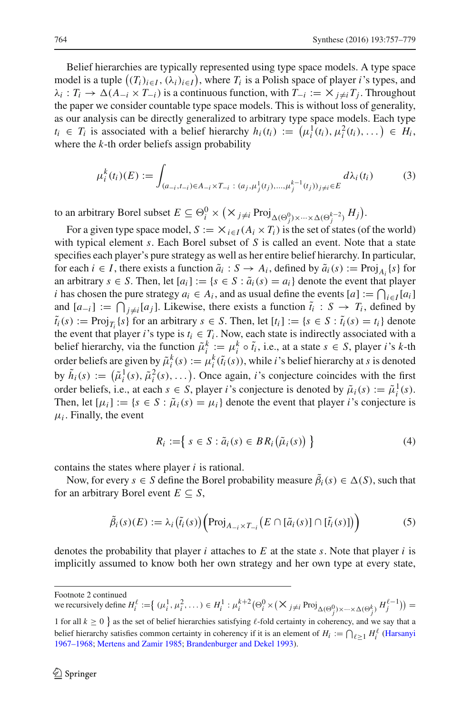Belief hierarchies are typically represented using type space models. A type space model is a tuple  $((T_i)_{i \in I}, (\lambda_i)_{i \in I})$ , where  $T_i$  is a Polish space of player *i*'s types, and  $\lambda_i: T_i \to \Delta(A_{-i} \times T_{-i})$  is a continuous function, with  $T_{-i} := \times_{j \neq i} T_j$ . Throughout the paper we consider countable type space models. This is without loss of generality, as our analysis can be directly generalized to arbitrary type space models. Each type  $t_i \in T_i$  is associated with a belief hierarchy  $h_i(t_i) := (\mu_i^1(t_i), \mu_i^2(t_i), \dots) \in H_i$ , where the *k*-th order beliefs assign probability

$$
\mu_i^k(t_i)(E) := \int_{(a_{-i}, t_{-i}) \in A_{-i} \times T_{-i}} \, (a_j, \mu_j^1(t_j), \dots, \mu_j^{k-1}(t_j))_{j \neq i} \in E} d\lambda_i(t_i) \tag{3}
$$

to an arbitrary Borel subset  $E \subseteq \Theta_i^0 \times (\times_{j \neq i} \text{Proj}_{\Delta(\Theta_j^0) \times \dots \times \Delta(\Theta_j^{k-2})} H_j)$ .

For a given type space model,  $S := \times_{i \in I} (A_i \times T_i)$  is the set of states (of the world) with typical element *s*. Each Borel subset of *S* is called an event. Note that a state specifies each player's pure strategy as well as her entire belief hierarchy. In particular, for each  $i \in I$ , there exists a function  $\tilde{a}_i : S \to A_i$ , defined by  $\tilde{a}_i(s) := \text{Proj}_{A_i}\{s\}$  for an arbitrary  $s \in S$ . Then, let  $[a_i] := \{s \in S : \tilde{a}_i(s) = a_i\}$  denote the event that player *i* has chosen the pure strategy  $a_i \in A_i$ , and as usual define the events  $[a] := \bigcap_{i \in I} [a_i]$ and  $[a_{-i}] := \bigcap_{j \neq i} [a_j]$ . Likewise, there exists a function  $\tilde{t}_i : S \to T_i$ , defined by  $\tilde{t}_i(s) := \text{Proj}_{T_i}\{s\}$  for an arbitrary  $s \in S$ . Then, let  $[t_i] := \{s \in S : \tilde{t}_i(s) = t_i\}$  denote the event that player *i*'s type is  $t_i \in T_i$ . Now, each state is indirectly associated with a belief hierarchy, via the function  $\tilde{\mu}_i^k := \mu_i^k \circ \tilde{t}_i$ , i.e., at a state  $s \in S$ , player *i*'s *k*-th order beliefs are given by  $\tilde{\mu}_i^k(s) := \mu_i^k(\tilde{t}_i(s))$ , while *i*'s belief hierarchy at *s* is denoted by  $\tilde{h}_i(s) := (\tilde{\mu}_i^1(s), \tilde{\mu}_i^2(s), \dots)$ . Once again, *i*'s conjecture coincides with the first order beliefs, i.e., at each  $s \in S$ , player *i*'s conjecture is denoted by  $\tilde{\mu}_i(s) := \tilde{\mu}_i^1(s)$ . Then, let  $[\mu_i] := \{ s \in S : \tilde{\mu}_i(s) = \mu_i \}$  denote the event that player *i*'s conjecture is  $\mu_i$ . Finally, the event

$$
R_i := \{ s \in S : \tilde{a}_i(s) \in BR_i\big(\tilde{\mu}_i(s)\big) \} \tag{4}
$$

contains the states where player *i* is rational.

Now, for every  $s \in S$  define the Borel probability measure  $\beta_i(s) \in \Delta(S)$ , such that for an arbitrary Borel event  $E \subseteq S$ ,

$$
\tilde{\beta}_i(s)(E) := \lambda_i(\tilde{t}_i(s)) \Big( \text{Proj}_{A_{-i} \times T_{-i}} \big( E \cap [\tilde{a}_i(s)] \cap [\tilde{t}_i(s)] \big) \Big) \tag{5}
$$

denotes the probability that player *i* attaches to *E* at the state *s*. Note that player *i* is implicitly assumed to know both her own strategy and her own type at every state,

Footnote 2 continued

we recursively define  $H_i^{\ell} := \left\{ (\mu_i^1, \mu_i^2, \dots) \in H_i^1 : \mu_i^{k+2} (\Theta_i^0 \times (\mathsf{X}_{j \neq i} \operatorname{Proj}_{\Delta(\Theta_j^0) \times \dots \times \Delta(\Theta_j^k)} H_j^{\ell-1})) \right\}$ 

<sup>1</sup> for all  $k \geq 0$  } as the set of belief hierarchies satisfying  $\ell$ -fold certainty in coherency, and we say that a belief hierarchy satisfies common certainty in coherency if it is an element of  $H_i := \bigcap_{\ell \geq 1} H_i^{\ell}$  [\(Harsanyi](#page-23-14) [1967–1968;](#page-23-14) [Mertens and Zamir 1985;](#page-23-15) [Brandenburger and Dekel 1993\)](#page-23-16).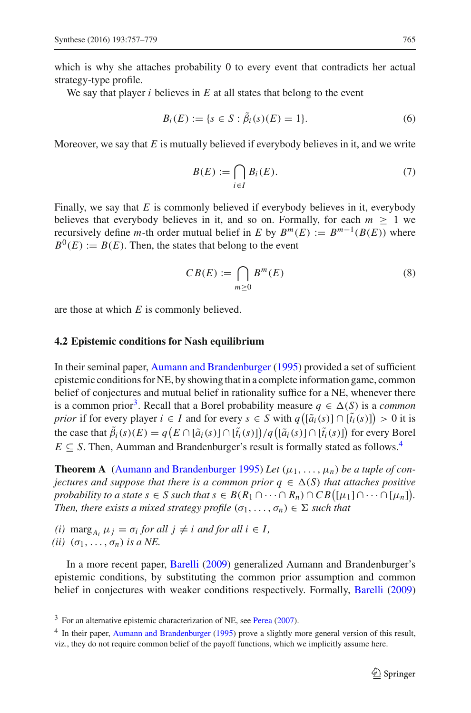which is why she attaches probability 0 to every event that contradicts her actual strategy-type profile.

We say that player *i* believes in *E* at all states that belong to the event

$$
B_i(E) := \{ s \in S : \tilde{\beta}_i(s)(E) = 1 \}.
$$
 (6)

Moreover, we say that *E* is mutually believed if everybody believes in it, and we write

$$
B(E) := \bigcap_{i \in I} B_i(E). \tag{7}
$$

Finally, we say that *E* is commonly believed if everybody believes in it, everybody believes that everybody believes in it, and so on. Formally, for each  $m > 1$  we recursively define *m*-th order mutual belief in *E* by  $B^m(E) := B^{m-1}(B(E))$  where  $B^{0}(E) := B(E)$ . Then, the states that belong to the event

$$
CB(E) := \bigcap_{m \ge 0} B^m(E) \tag{8}
$$

are those at which *E* is commonly believed.

#### **4.2 Epistemic conditions for Nash equilibrium**

In their seminal paper, [Aumann and Brandenburger](#page-23-1) [\(1995](#page-23-1)) provided a set of sufficient epistemic conditions for NE, by showing that in a complete information game, common belief of conjectures and mutual belief in rationality suffice for a NE, whenever there is a common prior<sup>3</sup>. Recall that a Borel probability measure  $q \in \Delta(S)$  is a *common prior* if for every player  $i \in I$  and for every  $s \in S$  with  $q([\tilde{a}_i(s)] \cap [\tilde{t}_i(s)] > 0$  it is the case that  $\beta_i(s)(E) = q(E \cap [\tilde{a}_i(s)] \cap [\tilde{t}_i(s)]/q([\tilde{a}_i(s)] \cap [\tilde{t}_i(s)])$  for every Borel  $E \subseteq S$ . Then, Aumman and Brandenburger's result is formally stated as follows.<sup>4</sup>

**Theorem A** [\(Aumann and Brandenburger 1995](#page-23-1)) Let  $(\mu_1, \ldots, \mu_n)$  be a tuple of con*jectures and suppose that there is a common prior*  $q \in \Delta(S)$  *that attaches positive probability to a state s*  $\in$  *S such that s*  $\in$  *B*( $R_1 \cap \cdots \cap R_n$ )  $\cap$  *CB*( $[\mu_1] \cap \cdots \cap [\mu_n]$ ). *Then, there exists a mixed strategy profile*  $(\sigma_1, \ldots, \sigma_n) \in \Sigma$  such that

*(i)* marg<sub>*A<sub>i</sub>*  $\mu_j = \sigma_i$  *for all*  $j \neq i$  *and for all*  $i \in I$ *,*</sub>

 $(iii)$   $(\sigma_1, \ldots, \sigma_n)$  *is a NE.* 

In a more recent paper, [Barelli](#page-23-7) [\(2009](#page-23-7)) generalized Aumann and Brandenburger's epistemic conditions, by substituting the common prior assumption and common belief in conjectures with weaker conditions respectively. Formally, [Barelli](#page-23-7) [\(2009\)](#page-23-7)

<sup>&</sup>lt;sup>3</sup> For an alternative epistemic characterization of NE, see [Perea](#page-23-17) [\(2007\)](#page-23-17).

<span id="page-9-1"></span><span id="page-9-0"></span><sup>4</sup> In their paper, [Aumann and Brandenburger](#page-23-1) [\(1995\)](#page-23-1) prove a slightly more general version of this result, viz., they do not require common belief of the payoff functions, which we implicitly assume here.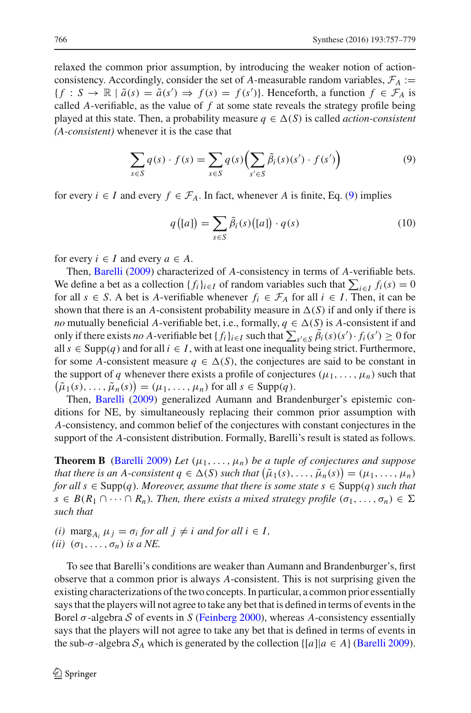relaxed the common prior assumption, by introducing the weaker notion of actionconsistency. Accordingly, consider the set of *A*-measurable random variables,  $\mathcal{F}_A$  :=  ${f : S \to \mathbb{R} \mid \tilde{a}(s) = \tilde{a}(s') \Rightarrow f(s) = f(s')}$ . Henceforth, a function  $f \in \mathcal{F}_A$  is called *A*-verifiable, as the value of *f* at some state reveals the strategy profile being played at this state. Then, a probability measure  $q \in \Delta(S)$  is called *action-consistent (A-consistent)* whenever it is the case that

$$
\sum_{s \in S} q(s) \cdot f(s) = \sum_{s \in S} q(s) \Bigl( \sum_{s' \in S} \tilde{\beta}_i(s) (s') \cdot f(s') \Bigr) \tag{9}
$$

<span id="page-10-0"></span>for every  $i \in I$  and every  $f \in \mathcal{F}_A$ . In fact, whenever A is finite, Eq. [\(9\)](#page-10-0) implies

$$
q([a]) = \sum_{s \in S} \tilde{\beta}_i(s)([a]) \cdot q(s) \tag{10}
$$

for every  $i \in I$  and every  $a \in A$ .

Then, [Barelli](#page-23-7) [\(2009\)](#page-23-7) characterized of *A*-consistency in terms of *A*-verifiable bets. We define a bet as a collection  $\{f_i\}_{i \in I}$  of random variables such that  $\sum_{i \in I} f_i(s) = 0$ for all  $s \in S$ . A bet is *A*-verifiable whenever  $f_i \in \mathcal{F}_A$  for all  $i \in I$ . Then, it can be shown that there is an *A*-consistent probability measure in  $\Delta(S)$  if and only if there is *no* mutually beneficial *A*-verifiable bet, i.e., formally,  $q \in \Delta(S)$  is *A*-consistent if and only if there exists *no A*-verifiable bet  $\{f_i\}_{i \in I}$  such that  $\sum_{s' \in S} \beta_i(s)(s') \cdot f_i(s') \ge 0$  for all  $s$  ∈ Supp(q) and for all  $i$  ∈  $I$ , with at least one inequality being strict. Furthermore, for some *A*-consistent measure  $q \in \Delta(S)$ , the conjectures are said to be constant in the support of *q* whenever there exists a profile of conjectures  $(\mu_1, \ldots, \mu_n)$  such that  $(\tilde{\mu}_1(s), \ldots, \tilde{\mu}_n(s)) = (\mu_1, \ldots, \mu_n)$  for all  $s \in \text{Supp}(q)$ .

Then, [Barelli](#page-23-7) [\(2009\)](#page-23-7) generalized Aumann and Brandenburger's epistemic conditions for NE, by simultaneously replacing their common prior assumption with *A*-consistency, and common belief of the conjectures with constant conjectures in the support of the *A*-consistent distribution. Formally, Barelli's result is stated as follows.

**Theorem B** [\(Barelli 2009\)](#page-23-7) Let  $(\mu_1, \ldots, \mu_n)$  be a tuple of conjectures and suppose *that there is an A-consistent*  $q \in \Delta(S)$  *such that*  $(\tilde{\mu}_1(s), \ldots, \tilde{\mu}_n(s)) = (\mu_1, \ldots, \mu_n)$ *for all*  $s \in \text{Supp}(q)$ *. Moreover, assume that there is some state*  $s \in \text{Supp}(q)$  *such that*  $s \in B(R_1 \cap \cdots \cap R_n)$ *. Then, there exists a mixed strategy profile*  $(\sigma_1, \ldots, \sigma_n) \in \Sigma$ *such that*

*(i)* marg<sub>*A<sub>i</sub>*  $\mu_j = \sigma_i$  *for all*  $j \neq i$  *and for all*  $i \in I$ *,*</sub>  $(iii)$   $(\sigma_1, \ldots, \sigma_n)$  *is a NE.* 

To see that Barelli's conditions are weaker than Aumann and Brandenburger's, first observe that a common prior is always *A*-consistent. This is not surprising given the existing characterizations of the two concepts. In particular, a common prior essentially says that the players will not agree to take any bet that is defined in terms of events in the Borel σ-algebra S of events in *S* [\(Feinberg 2000](#page-23-6)), whereas *A*-consistency essentially says that the players will not agree to take any bet that is defined in terms of events in the sub- $\sigma$ -algebra  $S_A$  which is generated by the collection  $\{[\alpha] | a \in A\}$  [\(Barelli 2009](#page-23-7)).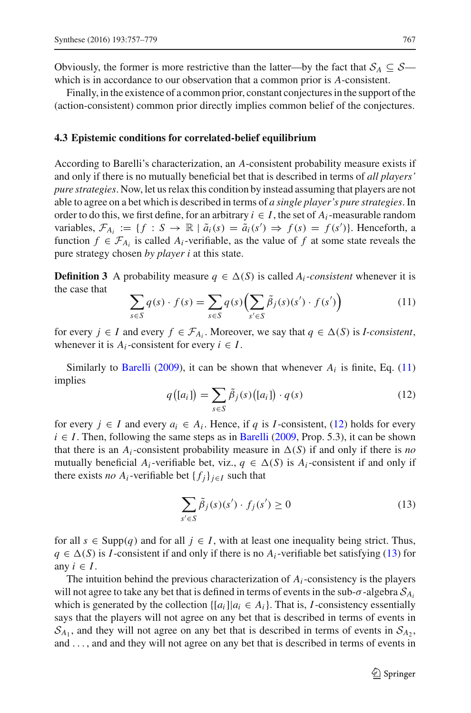Obviously, the former is more restrictive than the latter—by the fact that  $S_A \subseteq S$  which is in accordance to our observation that a common prior is *A*-consistent.

Finally, in the existence of a common prior, constant conjectures in the support of the (action-consistent) common prior directly implies common belief of the conjectures.

#### **4.3 Epistemic conditions for correlated-belief equilibrium**

According to Barelli's characterization, an *A*-consistent probability measure exists if and only if there is no mutually beneficial bet that is described in terms of *all players' pure strategies*. Now, let us relax this condition by instead assuming that players are not able to agree on a bet which is described in terms of *a single player's pure strategies*. In order to do this, we first define, for an arbitrary  $i \in I$ , the set of  $A_i$ -measurable random variables,  $\mathcal{F}_{A_i} := \{ f : S \to \mathbb{R} \mid \tilde{a}_i(s) = \tilde{a}_i(s') \Rightarrow f(s) = f(s') \}.$  Henceforth, a function  $f \in \mathcal{F}_{A_i}$  is called  $A_i$ -verifiable, as the value of f at some state reveals the pure strategy chosen *by player i* at this state.

<span id="page-11-0"></span>**Definition 3** A probability measure  $q \in \Delta(S)$  is called  $A_i$ -consistent whenever it is the case that

$$
\sum_{s \in S} q(s) \cdot f(s) = \sum_{s \in S} q(s) \Bigl(\sum_{s' \in S} \tilde{\beta}_j(s)(s') \cdot f(s')\Bigr) \tag{11}
$$

for every *j*  $\in$  *I* and every *f*  $\in$   $\mathcal{F}_{A_i}$ . Moreover, we say that *q*  $\in$   $\Delta(S)$  is *I-consistent*, whenever it is  $A_i$ -consistent for every  $i \in I$ .

<span id="page-11-1"></span>Similarly to [Barelli](#page-23-7) [\(2009](#page-23-7)), it can be shown that whenever  $A_i$  is finite, Eq. [\(11\)](#page-11-0) implies

$$
q([a_i]) = \sum_{s \in S} \tilde{\beta}_j(s) ([a_i]) \cdot q(s) \tag{12}
$$

for every  $j \in I$  and every  $a_i \in A_i$ . Hence, if q is *I*-consistent, [\(12\)](#page-11-1) holds for every  $i \in I$ . Then, following the same steps as in [Barelli](#page-23-7) [\(2009,](#page-23-7) Prop. 5.3), it can be shown that there is an  $A_i$ -consistent probability measure in  $\Delta(S)$  if and only if there is *no* mutually beneficial  $A_i$ -verifiable bet, viz.,  $q \in \Delta(S)$  is  $A_i$ -consistent if and only if there exists *no*  $A_i$ -verifiable bet  $\{f_i\}_{i \in I}$  such that

$$
\sum_{s' \in S} \tilde{\beta}_j(s)(s') \cdot f_j(s') \ge 0 \tag{13}
$$

<span id="page-11-2"></span>for all  $s \in \text{Supp}(q)$  and for all  $j \in I$ , with at least one inequality being strict. Thus, *q* ∈  $\Delta$ (*S*) is *I*-consistent if and only if there is no *A<sub>i</sub>*-verifiable bet satisfying [\(13\)](#page-11-2) for any  $i \in I$ .

The intuition behind the previous characterization of  $A_i$ -consistency is the players will not agree to take any bet that is defined in terms of events in the sub- $\sigma$ -algebra  $S_{A_i}$ which is generated by the collection  $\{[a_i]|a_i \in A_i\}$ . That is, *I*-consistency essentially says that the players will not agree on any bet that is described in terms of events in  $S_{A_1}$ , and they will not agree on any bet that is described in terms of events in  $S_{A_2}$ , and ... , and and they will not agree on any bet that is described in terms of events in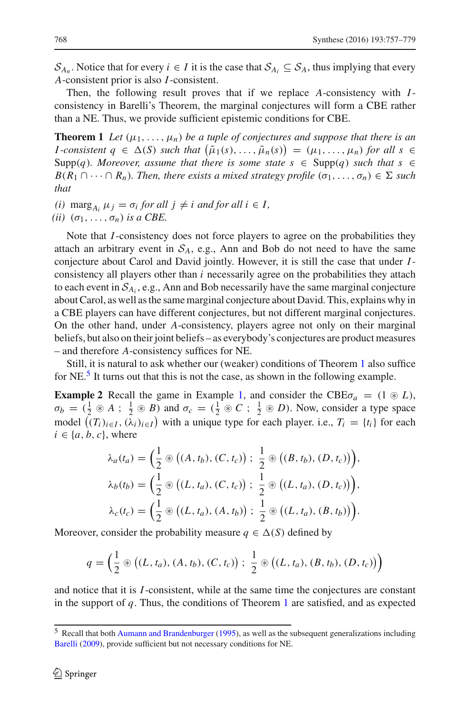S<sub>*A<sub>n</sub>*</sub>. Notice that for every  $i \in I$  it is the case that  $S_{A_i} \subseteq S_A$ , thus implying that every *A*-consistent prior is also *I*-consistent.

Then, the following result proves that if we replace *A*-consistency with *I*consistency in Barelli's Theorem, the marginal conjectures will form a CBE rather than a NE. Thus, we provide sufficient epistemic conditions for CBE.

<span id="page-12-0"></span>**Theorem 1** Let  $(\mu_1, \ldots, \mu_n)$  be a tuple of conjectures and suppose that there is an *I*-consistent  $q \in \Delta(S)$  such that  $(\tilde{\mu}_1(s), \ldots, \tilde{\mu}_n(s)) = (\mu_1, \ldots, \mu_n)$  for all  $s \in$ Supp(*q*)*. Moreover, assume that there is some state*  $s \in$  Supp(*q*) *such that*  $s \in$  $B(R_1 \cap \cdots \cap R_n)$ . Then, there exists a mixed strategy profile  $(\sigma_1, \ldots, \sigma_n) \in \Sigma$  such *that*

*(i)* marg<sub>*A<sub>i</sub>*  $\mu_j = \sigma_i$  *for all*  $j \neq i$  *and for all*  $i \in I$ *,*</sub>  $(ii)$   $(\sigma_1, \ldots, \sigma_n)$  *is a CBE.* 

Note that *I*-consistency does not force players to agree on the probabilities they attach an arbitrary event in  $S_A$ , e.g., Ann and Bob do not need to have the same conjecture about Carol and David jointly. However, it is still the case that under *I*consistency all players other than *i* necessarily agree on the probabilities they attach to each event in  $S_{A_i}$ , e.g., Ann and Bob necessarily have the same marginal conjecture about Carol, as well as the same marginal conjecture about David. This, explains why in a CBE players can have different conjectures, but not different marginal conjectures. On the other hand, under *A*-consistency, players agree not only on their marginal beliefs, but also on their joint beliefs – as everybody's conjectures are product measures – and therefore *A*-consistency suffices for NE.

<span id="page-12-1"></span>Still, it is natural to ask whether our (weaker) conditions of Theorem [1](#page-12-0) also suffice for NE. $<sup>5</sup>$  $<sup>5</sup>$  $<sup>5</sup>$  It turns out that this is not the case, as shown in the following example.</sup>

**Example 2** Recall the game in Example [1,](#page-6-2) and consider the CBE $\sigma_a = (1 \otimes L)$ ,  $\sigma_b = (\frac{1}{2} \otimes A ; \frac{1}{2} \otimes B)$  and  $\sigma_c = (\frac{1}{2} \otimes C ; \frac{1}{2} \otimes D)$ . Now, consider a type space model  $((T_i)_{i \in I}, (\lambda_i)_{i \in I})$  with a unique type for each player. i.e.,  $T_i = \{t_i\}$  for each  $i \in \{a, b, c\}$ , where

$$
\lambda_a(t_a) = \left(\frac{1}{2} \circledast \big((A, t_b), (C, t_c)\big) ; \frac{1}{2} \circledast \big((B, t_b), (D, t_c)\big)\right),
$$
  

$$
\lambda_b(t_b) = \left(\frac{1}{2} \circledast \big((L, t_a), (C, t_c)\big) ; \frac{1}{2} \circledast \big((L, t_a), (D, t_c)\big)\right),
$$
  

$$
\lambda_c(t_c) = \left(\frac{1}{2} \circledast \big((L, t_a), (A, t_b)\big) ; \frac{1}{2} \circledast \big((L, t_a), (B, t_b)\big)\right).
$$

Moreover, consider the probability measure  $q \in \Delta(S)$  defined by

$$
q = \left(\frac{1}{2} \circledast ((L, t_a), (A, t_b), (C, t_c)) ; \frac{1}{2} \circledast ((L, t_a), (B, t_b), (D, t_c))\right)
$$

and notice that it is *I*-consistent, while at the same time the conjectures are constant in the support of  $q$ . Thus, the conditions of Theorem [1](#page-12-0) are satisfied, and as expected

<span id="page-12-2"></span><sup>5</sup> Recall that both [Aumann and Brandenburger](#page-23-1) [\(1995](#page-23-1)), as well as the subsequent generalizations including [Barelli](#page-23-7) [\(2009](#page-23-7)), provide sufficient but not necessary conditions for NE.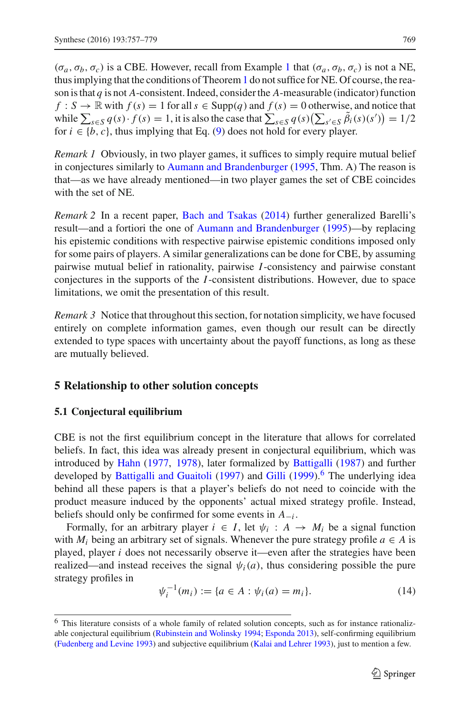$(\sigma_a, \sigma_b, \sigma_c)$  is a CBE. However, recall from Example [1](#page-6-2) that  $(\sigma_a, \sigma_b, \sigma_c)$  is not a NE, thus implying that the conditions of Theorem [1](#page-12-0) do not suffice for NE. Of course, the reason is that *q* is not *A*-consistent. Indeed, consider the *A*-measurable (indicator) function  $f : S \to \mathbb{R}$  with  $f(s) = 1$  for all  $s \in \text{Supp}(q)$  and  $f(s) = 0$  otherwise, and notice that while  $\sum_{s \in S} q(s) \cdot f(s) = 1$ , it is also the case that  $\sum_{s \in S} q(s) (\sum_{s' \in S} \beta_i(s)(s')) = 1/2$ for  $i \in \{b, c\}$ , thus implying that Eq. [\(9\)](#page-10-0) does not hold for every player.

*Remark 1* Obviously, in two player games, it suffices to simply require mutual belief in conjectures similarly to [Aumann and Brandenburger](#page-23-1) [\(1995](#page-23-1), Thm. A) The reason is that—as we have already mentioned—in two player games the set of CBE coincides with the set of NE.

*Remark 2* In a recent paper, [Bach and Tsakas](#page-23-18) [\(2014\)](#page-23-18) further generalized Barelli's result—and a fortiori the one of [Aumann and Brandenburger](#page-23-1) [\(1995\)](#page-23-1)—by replacing his epistemic conditions with respective pairwise epistemic conditions imposed only for some pairs of players. A similar generalizations can be done for CBE, by assuming pairwise mutual belief in rationality, pairwise *I*-consistency and pairwise constant conjectures in the supports of the *I*-consistent distributions. However, due to space limitations, we omit the presentation of this result.

*Remark 3* Notice that throughout this section, for notation simplicity, we have focused entirely on complete information games, even though our result can be directly extended to type spaces with uncertainty about the payoff functions, as long as these are mutually believed.

## <span id="page-13-0"></span>**5 Relationship to other solution concepts**

#### **5.1 Conjectural equilibrium**

CBE is not the first equilibrium concept in the literature that allows for correlated beliefs. In fact, this idea was already present in conjectural equilibrium, which was introduced by [Hahn](#page-23-8) [\(1977,](#page-23-8) [1978](#page-23-9)), later formalized by [Battigalli](#page-23-10) [\(1987\)](#page-23-10) and further developed by [Battigalli and Guaitoli](#page-23-11) [\(1997](#page-23-11)) and [Gilli](#page-23-19) [\(1999](#page-23-19)).<sup>[6](#page-13-1)</sup> The underlying idea behind all these papers is that a player's beliefs do not need to coincide with the product measure induced by the opponents' actual mixed strategy profile. Instead, beliefs should only be confirmed for some events in *A*−*<sup>i</sup>* .

Formally, for an arbitrary player  $i \in I$ , let  $\psi_i : A \to M_i$  be a signal function with  $M_i$  being an arbitrary set of signals. Whenever the pure strategy profile  $a \in A$  is played, player *i* does not necessarily observe it—even after the strategies have been realized—and instead receives the signal  $\psi_i(a)$ , thus considering possible the pure strategy profiles in

$$
\psi_i^{-1}(m_i) := \{ a \in A : \psi_i(a) = m_i \}.
$$
\n(14)

<span id="page-13-1"></span><sup>6</sup> This literature consists of a whole family of related solution concepts, such as for instance rationalizable conjectural equilibrium [\(Rubinstein and Wolinsky 1994](#page-23-20); [Esponda 2013](#page-23-21)), self-confirming equilibrium [\(Fudenberg and Levine 1993\)](#page-23-22) and subjective equilibrium [\(Kalai and Lehrer 1993\)](#page-23-23), just to mention a few.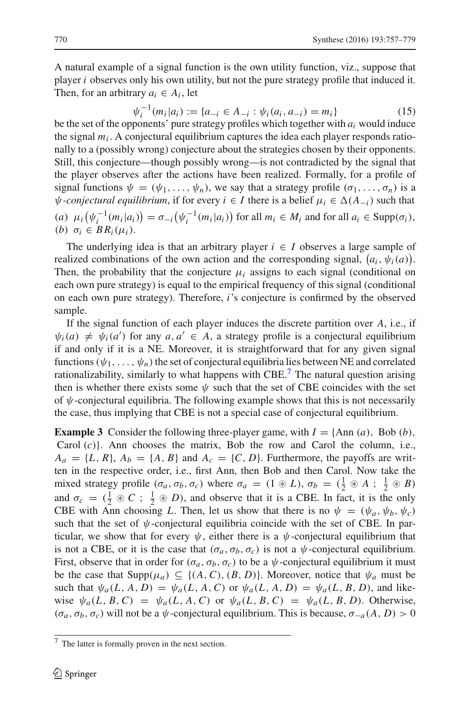A natural example of a signal function is the own utility function, viz., suppose that player *i* observes only his own utility, but not the pure strategy profile that induced it. Then, for an arbitrary  $a_i \in A_i$ , let

$$
\psi_i^{-1}(m_i|a_i) := \{a_{-i} \in A_{-i} : \psi_i(a_i, a_{-i}) = m_i\} \tag{15}
$$

be the set of the opponents' pure strategy profiles which together with  $a_i$  would induce the signal  $m_i$ . A conjectural equilibrium captures the idea each player responds rationally to a (possibly wrong) conjecture about the strategies chosen by their opponents. Still, this conjecture—though possibly wrong—is not contradicted by the signal that the player observes after the actions have been realized. Formally, for a profile of signal functions  $\psi = (\psi_1, \ldots, \psi_n)$ , we say that a strategy profile  $(\sigma_1, \ldots, \sigma_n)$  is a  $\psi$ -conjectural equilibrium, if for every  $i \in I$  there is a belief  $\mu_i \in \Delta(A_{-i})$  such that (*a*)  $\mu_i(\psi_i^{-1}(m_i|a_i)) = \sigma_{-i}(\psi_i^{-1}(m_i|a_i))$  for all  $m_i \in M_i$  and for all  $a_i \in \text{Supp}(\sigma_i)$ , (*b*)  $\sigma_i \in BR_i(\mu_i)$ .

The underlying idea is that an arbitrary player  $i \in I$  observes a large sample of realized combinations of the own action and the corresponding signal,  $(a_i, \psi_i(a))$ . Then, the probability that the conjecture  $\mu_i$  assigns to each signal (conditional on each own pure strategy) is equal to the empirical frequency of this signal (conditional on each own pure strategy). Therefore, *i*'s conjecture is confirmed by the observed sample.

If the signal function of each player induces the discrete partition over *A*, i.e., if  $\psi_i(a) \neq \psi_i(a')$  for any *a*, *a*' ∈ *A*, a strategy profile is a conjectural equilibrium if and only if it is a NE. Moreover, it is straightforward that for any given signal functions  $(\psi_1,\ldots,\psi_n)$  the set of conjectural equilibria lies between NE and correlated rationalizability, similarly to what happens with  $CBE$ <sup>7</sup>. The natural question arising then is whether there exists some  $\psi$  such that the set of CBE coincides with the set of  $\psi$ -conjectural equilibria. The following example shows that this is not necessarily the case, thus implying that CBE is not a special case of conjectural equilibrium.

<span id="page-14-0"></span>**Example 3** Consider the following three-player game, with  $I = \{Ann(a), Bob(b),\}$ Carol  $(c)$ . Ann chooses the matrix, Bob the row and Carol the column, i.e.,  $A_a = \{L, R\}, A_b = \{A, B\}$  and  $A_c = \{C, D\}.$  Furthermore, the payoffs are written in the respective order, i.e., first Ann, then Bob and then Carol. Now take the mixed strategy profile  $(\sigma_a, \sigma_b, \sigma_c)$  where  $\sigma_a = (1 \otimes L), \sigma_b = (\frac{1}{2} \otimes A; \frac{1}{2} \otimes B)$ and  $\sigma_c = (\frac{1}{2} \otimes C; \frac{1}{2} \otimes D)$ , and observe that it is a CBE. In fact, it is the only CBE with Ann choosing *L*. Then, let us show that there is no  $\psi = (\psi_a, \psi_b, \psi_c)$ such that the set of  $\psi$ -conjectural equilibria coincide with the set of CBE. In particular, we show that for every  $\psi$ , either there is a  $\psi$ -conjectural equilibrium that is not a CBE, or it is the case that  $(\sigma_a, \sigma_b, \sigma_c)$  is not a  $\psi$ -conjectural equilibrium. First, observe that in order for  $(\sigma_a, \sigma_b, \sigma_c)$  to be a  $\psi$ -conjectural equilibrium it must be the case that  $\text{Supp}(\mu_a) \subseteq \{(A, C), (B, D)\}.$  Moreover, notice that  $\psi_a$  must be such that  $\psi_a(L, A, D) = \psi_a(L, A, C)$  or  $\psi_a(L, A, D) = \psi_a(L, B, D)$ , and likewise  $\psi_a(L, B, C) = \psi_a(L, A, C)$  or  $\psi_a(L, B, C) = \psi_a(L, B, D)$ . Otherwise,  $(\sigma_a, \sigma_b, \sigma_c)$  will not be a  $\psi$ -conjectural equilibrium. This is because,  $\sigma_{-a}(A, D) > 0$ 

<span id="page-14-1"></span><sup>7</sup> The latter is formally proven in the next section.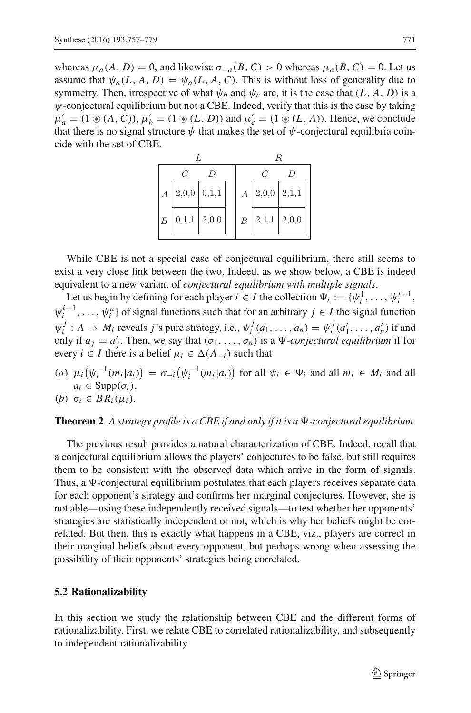whereas  $\mu_a(A, D) = 0$ , and likewise  $\sigma_{-a}(B, C) > 0$  whereas  $\mu_a(B, C) = 0$ . Let us assume that  $\psi_a(L, A, D) = \psi_a(L, A, C)$ . This is without loss of generality due to symmetry. Then, irrespective of what  $\psi_b$  and  $\psi_c$  are, it is the case that  $(L, A, D)$  is a  $\psi$ -conjectural equilibrium but not a CBE. Indeed, verify that this is the case by taking  $\mu'_a = (1 \circledast (A, C)), \mu'_b = (1 \circledast (L, D))$  and  $\mu'_c = (1 \circledast (L, A)).$  Hence, we conclude that there is no signal structure  $\psi$  that makes the set of  $\psi$ -conjectural equilibria coincide with the set of CBE.

|                  | C                  | $\prime$ |  |  | C,                              | 1) |  |
|------------------|--------------------|----------|--|--|---------------------------------|----|--|
|                  | 2,0,0 0,1,1        |          |  |  | $A \mid 2,0,0 \mid 2,1,1$       |    |  |
| $\boldsymbol{B}$ | $0,1,1 \mid 2,0,0$ |          |  |  | $B$   $2,\!1,\!1$   $2,\!0,\!0$ |    |  |

While CBE is not a special case of conjectural equilibrium, there still seems to exist a very close link between the two. Indeed, as we show below, a CBE is indeed equivalent to a new variant of *conjectural equilibrium with multiple signals*.

Let us begin by defining for each player  $i \in I$  the collection  $\Psi_i := {\{\psi_i^1, \ldots, \psi_i^{i-1}\}}$ ,  $\psi_i^{i+1}, \ldots, \psi_i^n$  of signal functions such that for an arbitrary  $j \in I$  the signal function  $\psi_i^j : A \to M_i$  reveals *j*'s pure strategy, i.e.,  $\psi_i^j(a_1, \ldots, a_n) = \psi_i^j(a'_1, \ldots, a'_n)$  if and only if  $a_j = a'_j$ . Then, we say that  $(\sigma_1, \ldots, \sigma_n)$  is a  $\Psi$ -*conjectural equilibrium* if for every  $i \in I$  there is a belief  $\mu_i \in \Delta(A_{-i})$  such that

- (*a*)  $\mu_i(\psi_i^{-1}(m_i|a_i)) = \sigma_{-i}(\psi_i^{-1}(m_i|a_i))$  for all  $\psi_i \in \Psi_i$  and all  $m_i \in M_i$  and all  $a_i \in \text{Sumb}(\sigma_i)$ ,
- <span id="page-15-0"></span>(*b*) σ*<sup>i</sup>* ∈ *B Ri*(μ*i*).

#### **Theorem 2** *A strategy profile is a CBE if and only if it is a -conjectural equilibrium.*

The previous result provides a natural characterization of CBE. Indeed, recall that a conjectural equilibrium allows the players' conjectures to be false, but still requires them to be consistent with the observed data which arrive in the form of signals. Thus, a  $\Psi$ -conjectural equilibrium postulates that each players receives separate data for each opponent's strategy and confirms her marginal conjectures. However, she is not able—using these independently received signals—to test whether her opponents' strategies are statistically independent or not, which is why her beliefs might be correlated. But then, this is exactly what happens in a CBE, viz., players are correct in their marginal beliefs about every opponent, but perhaps wrong when assessing the possibility of their opponents' strategies being correlated.

#### **5.2 Rationalizability**

In this section we study the relationship between CBE and the different forms of rationalizability. First, we relate CBE to correlated rationalizability, and subsequently to independent rationalizability.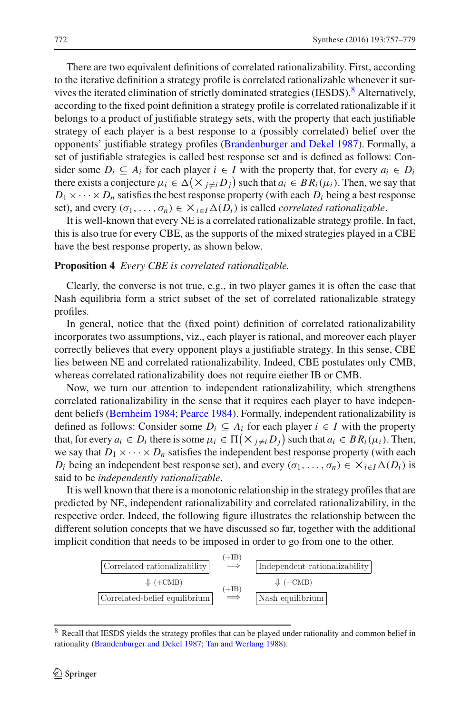There are two equivalent definitions of correlated rationalizability. First, according to the iterative definition a strategy profile is correlated rationalizable whenever it sur-vives the iterated elimination of strictly dominated strategies (IESDS).<sup>[8](#page-16-0)</sup> Alternatively, according to the fixed point definition a strategy profile is correlated rationalizable if it belongs to a product of justifiable strategy sets, with the property that each justifiable strategy of each player is a best response to a (possibly correlated) belief over the opponents' justifiable strategy profiles [\(Brandenburger and Dekel 1987](#page-23-12)). Formally, a set of justifiable strategies is called best response set and is defined as follows: Consider some  $D_i \subseteq A_i$  for each player  $i \in I$  with the property that, for every  $a_i \in D_i$ there exists a conjecture  $\mu_i \in \Delta(\times_{j \neq i} D_j)$  such that  $a_i \in BR_i(\mu_i)$ . Then, we say that  $D_1 \times \cdots \times D_n$  satisfies the best response property (with each  $D_i$  being a best response set), and every  $(\sigma_1, \ldots, \sigma_n) \in X_{i \in I} \Delta(D_i)$  is called *correlated rationalizable*.

It is well-known that every NE is a correlated rationalizable strategy profile. In fact, this is also true for every CBE, as the supports of the mixed strategies played in a CBE have the best response property, as shown below.

#### <span id="page-16-1"></span>**Proposition 4** *Every CBE is correlated rationalizable.*

Clearly, the converse is not true, e.g., in two player games it is often the case that Nash equilibria form a strict subset of the set of correlated rationalizable strategy profiles.

In general, notice that the (fixed point) definition of correlated rationalizability incorporates two assumptions, viz., each player is rational, and moreover each player correctly believes that every opponent plays a justifiable strategy. In this sense, CBE lies between NE and correlated rationalizability. Indeed, CBE postulates only CMB, whereas correlated rationalizability does not require eiether IB or CMB.

Now, we turn our attention to independent rationalizability, which strengthens correlated rationalizability in the sense that it requires each player to have independent beliefs [\(Bernheim 1984](#page-23-24); [Pearce 1984\)](#page-23-25). Formally, independent rationalizability is defined as follows: Consider some  $D_i$  ⊆  $A_i$  for each player  $i \in I$  with the property that, for every  $a_i \in D_i$  there is some  $\mu_i \in \Pi \big( \times_{j \neq i} D_j \big)$  such that  $a_i \in BR_i(\mu_i)$ . Then, we say that  $D_1 \times \cdots \times D_n$  satisfies the independent best response property (with each *D<sub>i</sub>* being an independent best response set), and every  $(\sigma_1, \ldots, \sigma_n) \in X_{i \in I} \Delta(D_i)$  is said to be *independently rationalizable*.

It is well known that there is a monotonic relationship in the strategy profiles that are predicted by NE, independent rationalizability and correlated rationalizability, in the respective order. Indeed, the following figure illustrates the relationship between the different solution concepts that we have discussed so far, together with the additional implicit condition that needs to be imposed in order to go from one to the other.



<span id="page-16-0"></span><sup>&</sup>lt;sup>8</sup> Recall that IESDS yields the strategy profiles that can be played under rationality and common belief in rationality [\(Brandenburger and Dekel 1987](#page-23-12); [Tan and Werlang 1988](#page-23-26)).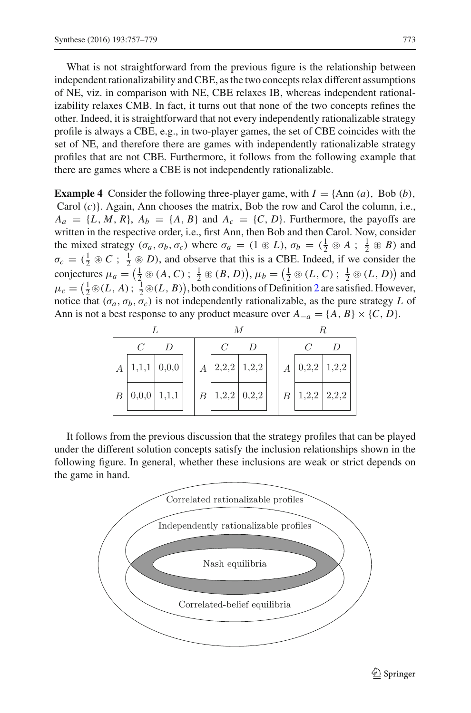What is not straightforward from the previous figure is the relationship between independent rationalizability and CBE, as the two concepts relax different assumptions of NE, viz. in comparison with NE, CBE relaxes IB, whereas independent rationalizability relaxes CMB. In fact, it turns out that none of the two concepts refines the other. Indeed, it is straightforward that not every independently rationalizable strategy profile is always a CBE, e.g., in two-player games, the set of CBE coincides with the set of NE, and therefore there are games with independently rationalizable strategy profiles that are not CBE. Furthermore, it follows from the following example that there are games where a CBE is not independently rationalizable.

**Example 4** Consider the following three-player game, with  $I = \{Ann(a), Bob(b),\}$ Carol (*c*)}. Again, Ann chooses the matrix, Bob the row and Carol the column, i.e.,  $A_a = \{L, M, R\}, A_b = \{A, B\}$  and  $A_c = \{C, D\}.$  Furthermore, the payoffs are written in the respective order, i.e., first Ann, then Bob and then Carol. Now, consider the mixed strategy  $(\sigma_a, \sigma_b, \sigma_c)$  where  $\sigma_a = (1 \otimes L), \sigma_b = (\frac{1}{2} \otimes A; \frac{1}{2} \otimes B)$  and  $\sigma_c = (\frac{1}{2} \otimes C; \frac{1}{2} \otimes D)$ , and observe that this is a CBE. Indeed, if we consider the conjectures  $\mu_a = (\frac{1}{2} \otimes (A, C); \frac{1}{2} \otimes (B, D)), \mu_b = (\frac{1}{2} \otimes (L, C); \frac{1}{2} \otimes (L, D))$  and  $\mu_c = (\frac{1}{2} \otimes (L, A); \frac{1}{2} \otimes (L, B)),$  $\mu_c = (\frac{1}{2} \otimes (L, A); \frac{1}{2} \otimes (L, B)),$  $\mu_c = (\frac{1}{2} \otimes (L, A); \frac{1}{2} \otimes (L, B)),$  both conditions of Definition 2 are satisfied. However, notice that  $(\sigma_a, \sigma_b, \sigma_c)$  is not independently rationalizable, as the pure strategy *L* of Ann is not a best response to any product measure over  $A_{-a} = \{A, B\} \times \{C, D\}$ .

|                  | $\mathcal{C}$   | $\left( \frac{1}{2} \right)$ |  |   | C                  |  |  |   | $\epsilon$        |  |
|------------------|-----------------|------------------------------|--|---|--------------------|--|--|---|-------------------|--|
| $\boldsymbol{A}$ |                 | $1,1,1 \mid 0,0,0$           |  | А | $2,2,2$ 1,2,2      |  |  | А | 0,2,2 1,2,2       |  |
| $\boldsymbol{B}$ | $0,0,0$   1,1,1 |                              |  | В | $1,2,2 \mid 0,2,2$ |  |  | В | $1,2,2$   $2,2,2$ |  |

It follows from the previous discussion that the strategy profiles that can be played under the different solution concepts satisfy the inclusion relationships shown in the following figure. In general, whether these inclusions are weak or strict depends on the game in hand.

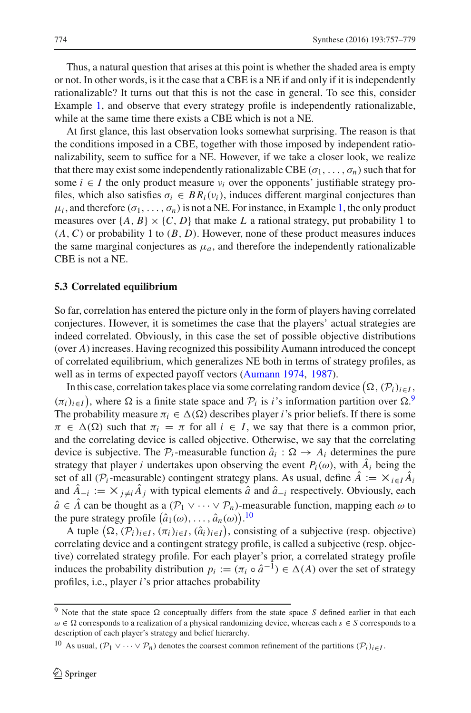Thus, a natural question that arises at this point is whether the shaded area is empty or not. In other words, is it the case that a CBE is a NE if and only if it is independently rationalizable? It turns out that this is not the case in general. To see this, consider Example [1,](#page-6-2) and observe that every strategy profile is independently rationalizable, while at the same time there exists a CBE which is not a NE.

At first glance, this last observation looks somewhat surprising. The reason is that the conditions imposed in a CBE, together with those imposed by independent rationalizability, seem to suffice for a NE. However, if we take a closer look, we realize that there may exist some independently rationalizable CBE ( $\sigma_1, \ldots, \sigma_n$ ) such that for some  $i \in I$  the only product measure  $v_i$  over the opponents' justifiable strategy profiles, which also satisfies  $\sigma_i \in BR_i(v_i)$ , induces different marginal conjectures than  $\mu_i$ , and therefore  $(\sigma_1,\ldots,\sigma_n)$  $(\sigma_1,\ldots,\sigma_n)$  $(\sigma_1,\ldots,\sigma_n)$  is not a NE. For instance, in Example 1, the only product measures over  $\{A, B\} \times \{C, D\}$  that make *L* a rational strategy, put probability 1 to (*A*,*C*) or probability 1 to (*B*, *D*). However, none of these product measures induces the same marginal conjectures as  $\mu_a$ , and therefore the independently rationalizable CBE is not a NE.

#### **5.3 Correlated equilibrium**

So far, correlation has entered the picture only in the form of players having correlated conjectures. However, it is sometimes the case that the players' actual strategies are indeed correlated. Obviously, in this case the set of possible objective distributions (over *A*) increases. Having recognized this possibility Aumann introduced the concept of correlated equilibrium, which generalizes NE both in terms of strategy profiles, as well as in terms of expected payoff vectors [\(Aumann 1974,](#page-23-2) [1987](#page-23-3)).

In this case, correlation takes place via some correlating random device  $(\Omega, (\mathcal{P}_i)_{i \in I},$  $(\pi_i)_{i \in I}$ , where  $\Omega$  is a finite state space and  $\mathcal{P}_i$  is *i*'s information partition over  $\Omega$ .<sup>[9](#page-18-0)</sup> The probability measure  $\pi_i \in \Delta(\Omega)$  describes player *i*'s prior beliefs. If there is some  $\pi \in \Delta(\Omega)$  such that  $\pi_i = \pi$  for all  $i \in I$ , we say that there is a common prior, and the correlating device is called objective. Otherwise, we say that the correlating device is subjective. The  $P_i$ -measurable function  $\hat{a}_i : \Omega \to A_i$  determines the pure strategy that player *i* undertakes upon observing the event  $P_i(\omega)$ , with  $\hat{A}_i$  being the set of all ( $\mathcal{P}_i$ -measurable) contingent strategy plans. As usual, define  $\hat{A} := \times_{i \in I} \hat{A}_i$ and  $\hat{A}_{-i} := \times_{i \neq i} \hat{A}_i$  with typical elements  $\hat{a}$  and  $\hat{a}_{-i}$  respectively. Obviously, each  $\hat{a} \in \hat{A}$  can be thought as a  $(\mathcal{P}_1 \vee \cdots \vee \mathcal{P}_n)$ -measurable function, mapping each  $\omega$  to the pure strategy profile  $(\hat{a}_1(\omega), \ldots, \hat{a}_n(\omega))$ .<sup>[10](#page-18-1)</sup>

A tuple  $(\Omega, (\mathcal{P}_i)_{i \in I}, (\pi_i)_{i \in I}, (\hat{a}_i)_{i \in I})$ , consisting of a subjective (resp. objective) correlating device and a contingent strategy profile, is called a subjective (resp. objective) correlated strategy profile. For each player's prior, a correlated strategy profile induces the probability distribution  $p_i := (\pi_i \circ \hat{a}^{-1}) \in \Delta(A)$  over the set of strategy profiles, i.e., player *i*'s prior attaches probability

<span id="page-18-0"></span><sup>&</sup>lt;sup>9</sup> Note that the state space  $\Omega$  conceptually differs from the state space *S* defined earlier in that each  $\omega \in \Omega$  corresponds to a realization of a physical randomizing device, whereas each  $s \in S$  corresponds to a description of each player's strategy and belief hierarchy.

<span id="page-18-1"></span><sup>&</sup>lt;sup>10</sup> As usual,  $(\mathcal{P}_1 \vee \cdots \vee \mathcal{P}_n)$  denotes the coarsest common refinement of the partitions  $(\mathcal{P}_i)_{i \in I}$ .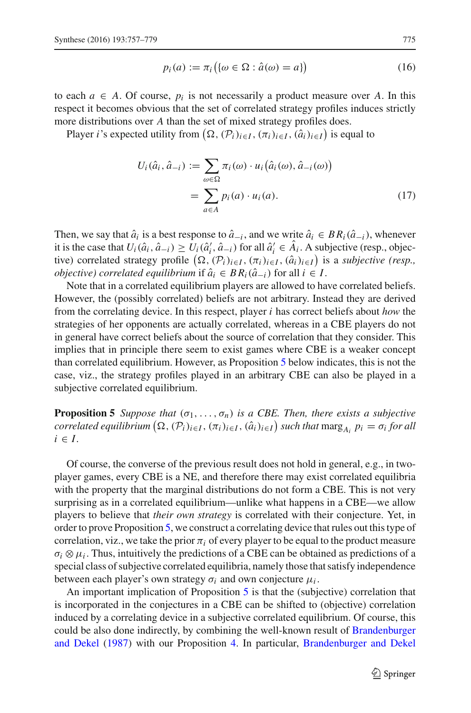$$
p_i(a) := \pi_i\big(\{\omega \in \Omega : \hat{a}(\omega) = a\}\big) \tag{16}
$$

to each  $a \in A$ . Of course,  $p_i$  is not necessarily a product measure over A. In this respect it becomes obvious that the set of correlated strategy profiles induces strictly more distributions over *A* than the set of mixed strategy profiles does.

Player *i*'s expected utility from  $(\Omega, (\mathcal{P}_i)_{i \in I}, (\pi_i)_{i \in I}, (\hat{a}_i)_{i \in I})$  is equal to

$$
U_i(\hat{a}_i, \hat{a}_{-i}) := \sum_{\omega \in \Omega} \pi_i(\omega) \cdot u_i(\hat{a}_i(\omega), \hat{a}_{-i}(\omega))
$$
  
= 
$$
\sum_{a \in A} p_i(a) \cdot u_i(a).
$$
 (17)

Then, we say that  $\hat{a}_i$  is a best response to  $\hat{a}_{-i}$ , and we write  $\hat{a}_i \in BR_i(\hat{a}_{-i})$ , whenever it is the case that  $U_i(\hat{a}_i, \hat{a}_{-i}) \ge U_i(\hat{a}'_i, \hat{a}_{-i})$  for all  $\hat{a}'_i \in A_i$ . A subjective (resp., objective) correlated strategy profile  $(\Omega, (\mathcal{P}_i)_{i \in I}, (\pi_i)_{i \in I}, (\hat{a}_i)_{i \in I})$  is a *subjective (resp., objective)* correlated equilibrium if  $\hat{a}_i \in BR_i(\hat{a}_{-i})$  for all  $i \in I$ .

Note that in a correlated equilibrium players are allowed to have correlated beliefs. However, the (possibly correlated) beliefs are not arbitrary. Instead they are derived from the correlating device. In this respect, player *i* has correct beliefs about *how* the strategies of her opponents are actually correlated, whereas in a CBE players do not in general have correct beliefs about the source of correlation that they consider. This implies that in principle there seem to exist games where CBE is a weaker concept than correlated equilibrium. However, as Proposition [5](#page-19-0) below indicates, this is not the case, viz., the strategy profiles played in an arbitrary CBE can also be played in a subjective correlated equilibrium.

<span id="page-19-0"></span>**Proposition 5** *Suppose that*  $(\sigma_1, \ldots, \sigma_n)$  *is a CBE. Then, there exists a subjective*  $correlated equilibrium (\Omega, (\mathcal{P}_i)_{i \in I}, (\pi_i)_{i \in I}, (\hat{a}_i)_{i \in I})$  such that  $\max_{A_i} p_i = \sigma_i$  for all  $i \in I$ .

Of course, the converse of the previous result does not hold in general, e.g., in twoplayer games, every CBE is a NE, and therefore there may exist correlated equilibria with the property that the marginal distributions do not form a CBE. This is not very surprising as in a correlated equilibrium—unlike what happens in a CBE—we allow players to believe that *their own strategy* is correlated with their conjecture. Yet, in order to prove Proposition [5,](#page-19-0) we construct a correlating device that rules out this type of correlation, viz., we take the prior  $\pi_i$  of every player to be equal to the product measure  $\sigma_i \otimes \mu_i$ . Thus, intuitively the predictions of a CBE can be obtained as predictions of a special class of subjective correlated equilibria, namely those that satisfy independence between each player's own strategy  $\sigma_i$  and own conjecture  $\mu_i$ .

An important implication of Proposition [5](#page-19-0) is that the (subjective) correlation that is incorporated in the conjectures in a CBE can be shifted to (objective) correlation induced by a correlating device in a subjective correlated equilibrium. Of course, this could be a[lso](#page-23-12) [done](#page-23-12) [indirectly,](#page-23-12) [by](#page-23-12) [combining](#page-23-12) [the](#page-23-12) [well-known](#page-23-12) [result](#page-23-12) [of](#page-23-12) Brandenburger and Dekel [\(1987\)](#page-23-12) with our Proposition [4.](#page-16-1) In particular, [Brandenburger and Dekel](#page-23-12)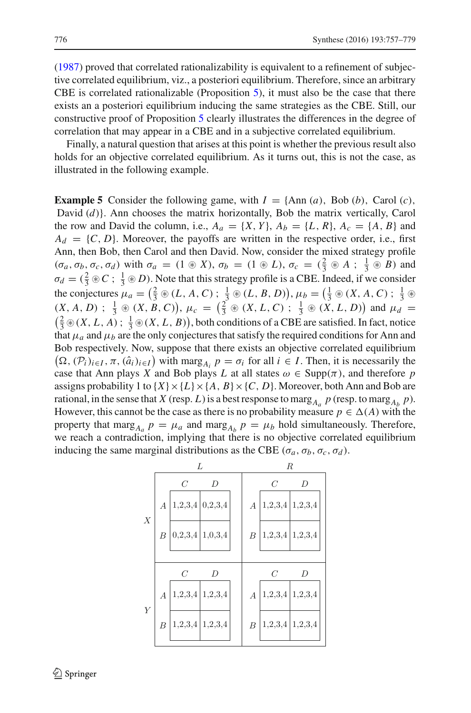[\(1987\)](#page-23-12) proved that correlated rationalizability is equivalent to a refinement of subjective correlated equilibrium, viz., a posteriori equilibrium. Therefore, since an arbitrary CBE is correlated rationalizable (Proposition  $5$ ), it must also be the case that there exists an a posteriori equilibrium inducing the same strategies as the CBE. Still, our constructive proof of Proposition [5](#page-19-0) clearly illustrates the differences in the degree of correlation that may appear in a CBE and in a subjective correlated equilibrium.

<span id="page-20-0"></span>Finally, a natural question that arises at this point is whether the previous result also holds for an objective correlated equilibrium. As it turns out, this is not the case, as illustrated in the following example.

**Example 5** Consider the following game, with  $I = \{\text{Ann}(a), \text{Bob}(b), \text{ Carol}(c),\}$ David (*d*)}. Ann chooses the matrix horizontally, Bob the matrix vertically, Carol the row and David the column, i.e.,  $A_a = \{X, Y\}$ ,  $A_b = \{L, R\}$ ,  $A_c = \{A, B\}$  and  $A_d = \{C, D\}$ . Moreover, the payoffs are written in the respective order, i.e., first Ann, then Bob, then Carol and then David. Now, consider the mixed strategy profile  $(\sigma_a, \sigma_b, \sigma_c, \sigma_d)$  with  $\sigma_a = (1 \circledast X), \sigma_b = (1 \circledast L), \sigma_c = (\frac{2}{3} \circledast A; \frac{1}{3} \circledast B)$  and  $\sigma_d = (\frac{2}{3} \otimes C; \frac{1}{3} \otimes D)$ . Note that this strategy profile is a CBE. Indeed, if we consider the conjectures  $\mu_a = (\frac{2}{3} \otimes (L, A, C); \frac{1}{3} \otimes (L, B, D)), \mu_b = (\frac{1}{3} \otimes (X, A, C); \frac{1}{3} \otimes$  $(X, A, D)$ ;  $\frac{1}{3} \otimes (X, B, C)$ ,  $\mu_c = \left(\frac{2}{3} \otimes (X, L, C)$ ;  $\frac{1}{3} \otimes (X, L, D)\right)$  and  $\mu_d =$  $(\frac{2}{3} \otimes (X, L, A); \frac{1}{3} \otimes (X, L, B))$ , both conditions of a CBE are satisfied. In fact, notice that  $\mu_a$  and  $\mu_b$  are the only conjectures that satisfy the required conditions for Ann and Bob respectively. Now, suppose that there exists an objective correlated equilibrium  $(\Omega, (\mathcal{P}_i)_{i \in I}, \pi, (\hat{a}_i)_{i \in I})$  with marg<sub>*A<sub>i</sub>*</sub>  $p = \sigma_i$  for all  $i \in I$ . Then, it is necessarily the case that Ann plays *X* and Bob plays *L* at all states  $\omega \in \text{Supp}(\pi)$ , and therefore *p* assigns probability 1 to  $\{X\} \times \{L\} \times \{A, B\} \times \{C, D\}$ . Moreover, both Ann and Bob are rational, in the sense that *X* (resp. *L*) is a best response to marg<sub>*A<sub>a</sub> p* (resp. to marg<sub>*A<sub>b</sub> p*).</sub></sub> However, this cannot be the case as there is no probability measure  $p \in \Delta(A)$  with the property that marg<sub>*A<sub>a</sub>*  $p = \mu_a$  and marg<sub>*A<sub>b</sub>*</sub>  $p = \mu_b$  hold simultaneously. Therefore,</sub> we reach a contradiction, implying that there is no objective correlated equilibrium inducing the same marginal distributions as the CBE ( $\sigma_a$ ,  $\sigma_b$ ,  $\sigma_c$ ,  $\sigma_d$ ).

|                  |                               | L | R                             |                  |  |  |  |  |
|------------------|-------------------------------|---|-------------------------------|------------------|--|--|--|--|
|                  | C                             | D | C                             | $\left( \right)$ |  |  |  |  |
| $\boldsymbol{X}$ | A 1,2,3,4 0,2,3,4             |   | A 1,2,3,4 1,2,3,4             |                  |  |  |  |  |
|                  | $B \mid 0,2,3,4 \mid 1,0,3,4$ |   | $B$   1,2,3,4   1,2,3,4       |                  |  |  |  |  |
|                  |                               |   |                               |                  |  |  |  |  |
|                  | C                             | D | C                             | D                |  |  |  |  |
| $\overline{Y}$   | $A$   1,2,3,4   1,2,3,4       |   | $A \mid 1,2,3,4 \mid 1,2,3,4$ |                  |  |  |  |  |
|                  | $B$   1,2,3,4   1,2,3,4       |   | B 1,2,3,4 1,2,3,4             |                  |  |  |  |  |
|                  |                               |   |                               |                  |  |  |  |  |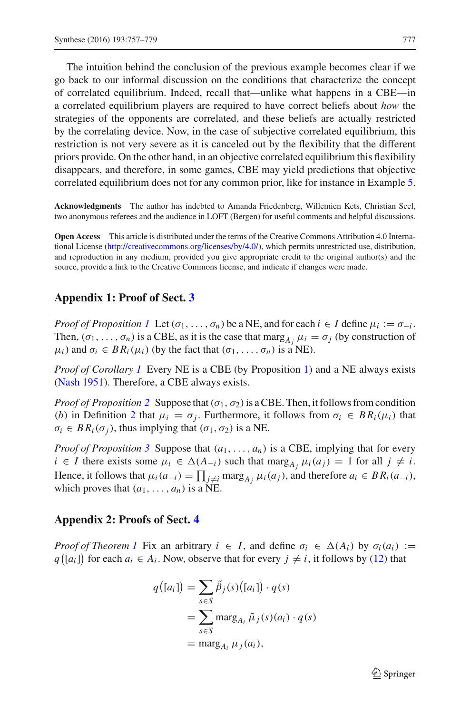The intuition behind the conclusion of the previous example becomes clear if we go back to our informal discussion on the conditions that characterize the concept of correlated equilibrium. Indeed, recall that—unlike what happens in a CBE—in a correlated equilibrium players are required to have correct beliefs about *how* the strategies of the opponents are correlated, and these beliefs are actually restricted by the correlating device. Now, in the case of subjective correlated equilibrium, this restriction is not very severe as it is canceled out by the flexibility that the different priors provide. On the other hand, in an objective correlated equilibrium this flexibility disappears, and therefore, in some games, CBE may yield predictions that objective correlated equilibrium does not for any common prior, like for instance in Example [5.](#page-20-0)

**Acknowledgments** The author has indebted to Amanda Friedenberg, Willemien Kets, Christian Seel, two anonymous referees and the audience in LOFT (Bergen) for useful comments and helpful discussions.

**Open Access** This article is distributed under the terms of the Creative Commons Attribution 4.0 International License [\(http://creativecommons.org/licenses/by/4.0/\)](http://creativecommons.org/licenses/by/4.0/), which permits unrestricted use, distribution, and reproduction in any medium, provided you give appropriate credit to the original author(s) and the source, provide a link to the Creative Commons license, and indicate if changes were made.

### **Appendix 1: Proof of Sect. [3](#page-6-0)**

*Proof of Proposition [1](#page-6-1)* Let ( $\sigma_1, \ldots, \sigma_n$ ) be a NE, and for each  $i \in I$  define  $\mu_i := \sigma_{-i}$ . Then,  $(\sigma_1, \ldots, \sigma_n)$  is a CBE, as it is the case that marg<sub>A<sub>*i</sub>*</sub>  $\mu_i = \sigma_j$  (by construction of</sub>  $\mu_i$ ) and  $\sigma_i \in BR_i(\mu_i)$  (by the fact that  $(\sigma_1, \ldots, \sigma_n)$  is a NE).

*Proof of Corollary [1](#page-6-4)* Every NE is a CBE (by Proposition [1\)](#page-6-1) and a NE always exists [\(Nash 1951\)](#page-23-0). Therefore, a CBE always exists.

*Proof of Proposition* [2](#page-7-3) Suppose that  $(\sigma_1, \sigma_2)$  is a CBE. Then, it follows from condition (*b*) in Definition [2](#page-6-3) that  $\mu_i = \sigma_i$ . Furthermore, it follows from  $\sigma_i \in BR_i(\mu_i)$  that  $\sigma_i \in BR_i(\sigma_i)$ , thus implying that  $(\sigma_1, \sigma_2)$  is a NE.

*Proof of Proposition* [3](#page-7-4) Suppose that  $(a_1, \ldots, a_n)$  is a CBE, implying that for every  $i \in I$  there exists some  $\mu_i \in \Delta(A_{-i})$  such that  $\max_{A_j} \mu_i(a_j) = 1$  for all  $j \neq i$ . Hence, it follows that  $\mu_i(a_{-i}) = \prod_{j \neq i} \text{marg}_{A_j} \mu_i(a_j)$ , and therefore  $a_i \in BR_i(a_{-i})$ , which proves that  $(a_1, \ldots, a_n)$  is a NE.

#### **Appendix 2: Proofs of Sect. [4](#page-7-0)**

*Proof of Theorem [1](#page-12-0)* Fix an arbitrary  $i \in I$ , and define  $\sigma_i \in \Delta(A_i)$  by  $\sigma_i(a_i) :=$ *q*( $[a_i]$ ) for each *a<sub>i</sub>* ∈ *A<sub>i</sub>*. Now, observe that for every *j* ≠ *i*, it follows by [\(12\)](#page-11-1) that

$$
q([a_i]) = \sum_{s \in S} \tilde{\beta}_j(s) ([a_i]) \cdot q(s)
$$
  
= 
$$
\sum_{s \in S} \text{marg}_{A_i} \tilde{\mu}_j(s) (a_i) \cdot q(s)
$$
  
= 
$$
\text{marg}_{A_i} \mu_j(a_i),
$$

 $\mathcal{L}$  Springer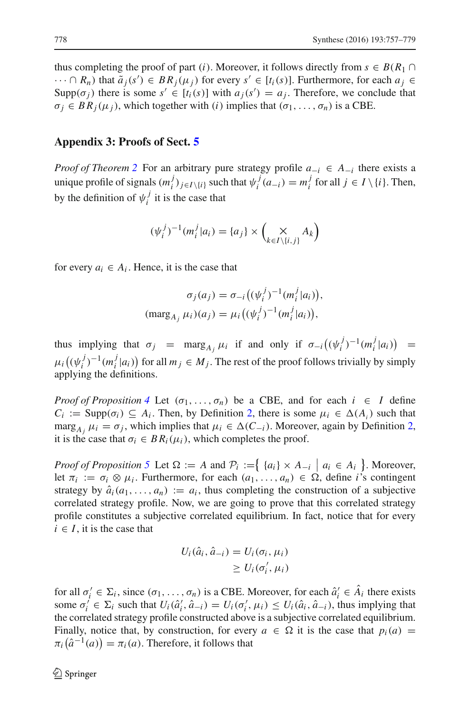thus completing the proof of part (*i*). Moreover, it follows directly from  $s \in B(R_1 \cap$  $\cdots \cap R_n$ ) that  $\tilde{a}_j(s') \in BR_j(\mu_j)$  for every  $s' \in [t_i(s)]$ . Furthermore, for each  $a_j \in$ Supp( $\sigma_j$ ) there is some  $s' \in [t_i(s)]$  with  $a_j(s') = a_j$ . Therefore, we conclude that  $\sigma_i \in BR_i(\mu_i)$ , which together with (*i*) implies that  $(\sigma_1, \ldots, \sigma_n)$  is a CBE.

#### **Appendix 3: Proofs of Sect. [5](#page-13-0)**

*Proof of Theorem* [2](#page-15-0) For an arbitrary pure strategy profile  $a_{-i} \in A_{-i}$  there exists a unique profile of signals  $(m_i^j)_{j \in I \setminus \{i\}}$  such that  $\psi_i^j(a_{-i}) = m_i^j$  for all  $j \in I \setminus \{i\}$ . Then, by the definition of  $\psi_i^j$  it is the case that

$$
(\psi_i^j)^{-1}(m_i^j|a_i) = \{a_j\} \times \left(\underset{k \in I \setminus \{i,j\}}{\times} A_k\right)
$$

for every  $a_i \in A_i$ . Hence, it is the case that

$$
\sigma_j(a_j) = \sigma_{-i}((\psi_i^j)^{-1}(m_i^j|a_i)),
$$
  
(
$$
(\text{marg}_{A_j}\mu_i)(a_j) = \mu_i((\psi_i^j)^{-1}(m_i^j|a_i)),
$$

thus implying that  $\sigma_j$  = marg<sub>*A<sub>j</sub>*</sub>  $\mu_i$  if and only if  $\sigma_{-i}((\psi_i^j)^{-1}(m_i^j|a_i))$  =  $\mu_i((\psi_i^j)^{-1}(m_i^j|a_i))$  for all  $m_j \in M_j$ . The rest of the proof follows trivially by simply applying the definitions.

*Proof of Proposition* [4](#page-16-1) Let  $(\sigma_1, \ldots, \sigma_n)$  be a CBE, and for each  $i \in I$  define  $C_i := \text{Supp}(\sigma_i) \subseteq A_i$ . Then, by Definition [2,](#page-6-3) there is some  $\mu_i \in \Delta(A_i)$  such that  $\max_{A_j} \mu_i = \sigma_j$ , which implies that  $\mu_i \in \Delta(C_{-i})$ . Moreover, again by Definition [2,](#page-6-3) it is the case that  $\sigma_i \in BR_i(\mu_i)$ , which completes the proof.

*Proof of Proposition* [5](#page-19-0) Let  $\Omega := A$  and  $\mathcal{P}_i := \{ \{a_i\} \times A_{-i} \mid a_i \in A_i \}$ . Moreover, let  $\pi_i := \sigma_i \otimes \mu_i$ . Furthermore, for each  $(a_1, \ldots, a_n) \in \Omega$ , define *i*'s contingent strategy by  $\hat{a}_i(a_1,\ldots,a_n) := a_i$ , thus completing the construction of a subjective correlated strategy profile. Now, we are going to prove that this correlated strategy profile constitutes a subjective correlated equilibrium. In fact, notice that for every  $i \in I$ , it is the case that

$$
U_i(\hat{a}_i, \hat{a}_{-i}) = U_i(\sigma_i, \mu_i)
$$
  
\n
$$
\geq U_i(\sigma'_i, \mu_i)
$$

for all  $\sigma'_i \in \Sigma_i$ , since  $(\sigma_1, \ldots, \sigma_n)$  is a CBE. Moreover, for each  $\hat{a}'_i \in A_i$  there exists some  $\sigma'_i \in \Sigma_i$  such that  $U_i(\hat{a}'_i, \hat{a}_{-i}) = U_i(\sigma'_i, \mu_i) \leq U_i(\hat{a}_i, \hat{a}_{-i})$ , thus implying that the correlated strategy profile constructed above is a subjective correlated equilibrium. Finally, notice that, by construction, for every  $a \in \Omega$  it is the case that  $p_i(a)$  $\pi_i(\hat{a}^{-1}(a)) = \pi_i(a)$ . Therefore, it follows that